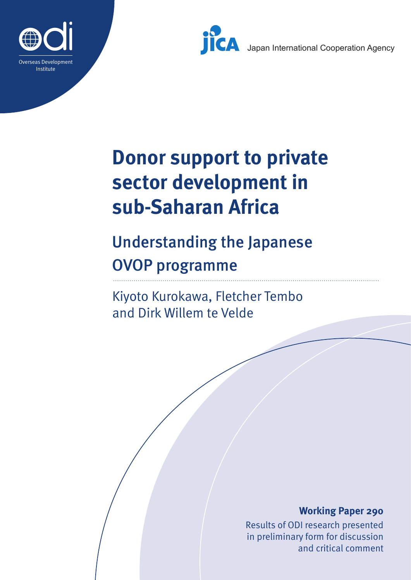



Japan International Cooperation Agency

# **Donor support to private sector development in sub-Saharan Africa**

# Understanding the Japanese OVOP programme

Kiyoto Kurokawa, Fletcher Tembo and Dirk Willem te Velde

#### **Working Paper 290**

Results of ODI research presented in preliminary form for discussion and critical comment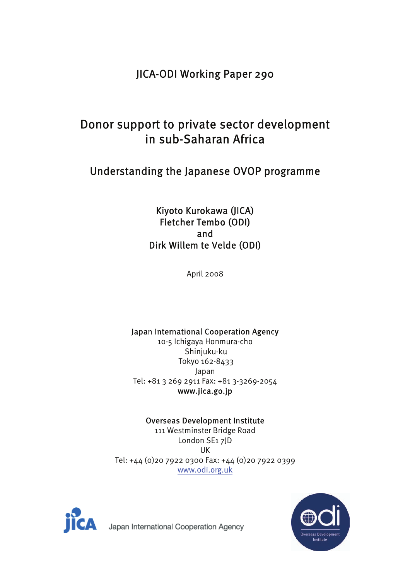## JICA-ODI Working Paper 290

## Donor support to private sector development in sub-Saharan Africa

## Understanding the Japanese OVOP programme

#### Kiyoto Kurokawa (JICA) Fletcher Tembo (ODI) and Dirk Willem te Velde (ODI)

April 2008

#### Japan International Cooperation Agency

10-5 Ichigaya Honmura-cho Shinjuku-ku Tokyo 162-8433 Japan Tel: +81 3 269 2911 Fax: +81 3-3269-2054 www.jica.go.jp

#### Overseas Development Institute

111 Westminster Bridge Road London SE1 7JD UK Tel: +44 (0)20 7922 0300 Fax: +44 (0)20 7922 0399 www.odi.org.uk





Japan International Cooperation Agency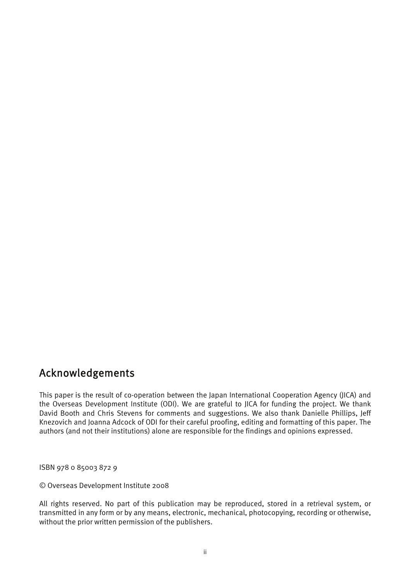## Acknowledgements

This paper is the result of co-operation between the Japan International Cooperation Agency (JICA) and the Overseas Development Institute (ODI). We are grateful to JICA for funding the project. We thank David Booth and Chris Stevens for comments and suggestions. We also thank Danielle Phillips, Jeff Knezovich and Joanna Adcock of ODI for their careful proofing, editing and formatting of this paper. The authors (and not their institutions) alone are responsible for the findings and opinions expressed.

ISBN 978 0 85003 872 9

© Overseas Development Institute 2008

All rights reserved. No part of this publication may be reproduced, stored in a retrieval system, or transmitted in any form or by any means, electronic, mechanical, photocopying, recording or otherwise, without the prior written permission of the publishers.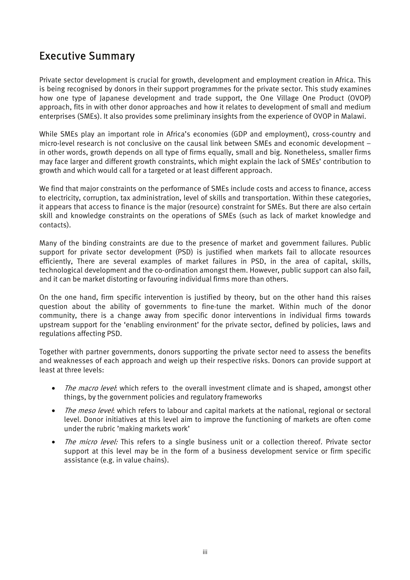## Executive Summary

Private sector development is crucial for growth, development and employment creation in Africa. This is being recognised by donors in their support programmes for the private sector. This study examines how one type of Japanese development and trade support, the One Village One Product (OVOP) approach, fits in with other donor approaches and how it relates to development of small and medium enterprises (SMEs). It also provides some preliminary insights from the experience of OVOP in Malawi.

While SMEs play an important role in Africa's economies (GDP and employment), cross-country and micro-level research is not conclusive on the causal link between SMEs and economic development – in other words, growth depends on all type of firms equally, small and big. Nonetheless, smaller firms may face larger and different growth constraints, which might explain the lack of SMEs' contribution to growth and which would call for a targeted or at least different approach.

We find that major constraints on the performance of SMEs include costs and access to finance, access to electricity, corruption, tax administration, level of skills and transportation. Within these categories, it appears that access to finance is the major (resource) constraint for SMEs. But there are also certain skill and knowledge constraints on the operations of SMEs (such as lack of market knowledge and contacts).

Many of the binding constraints are due to the presence of market and government failures. Public support for private sector development (PSD) is justified when markets fail to allocate resources efficiently, There are several examples of market failures in PSD, in the area of capital, skills, technological development and the co-ordination amongst them. However, public support can also fail, and it can be market distorting or favouring individual firms more than others.

On the one hand, firm specific intervention is justified by theory, but on the other hand this raises question about the ability of governments to fine-tune the market. Within much of the donor community, there is a change away from specific donor interventions in individual firms towards upstream support for the 'enabling environment' for the private sector, defined by policies, laws and regulations affecting PSD.

Together with partner governments, donors supporting the private sector need to assess the benefits and weaknesses of each approach and weigh up their respective risks. Donors can provide support at least at three levels:

- The macro level: which refers to the overall investment climate and is shaped, amongst other things, by the government policies and regulatory frameworks
- The meso level: which refers to labour and capital markets at the national, regional or sectoral level. Donor initiatives at this level aim to improve the functioning of markets are often come under the rubric 'making markets work'
- The micro level: This refers to a single business unit or a collection thereof. Private sector support at this level may be in the form of a business development service or firm specific assistance (e.g. in value chains).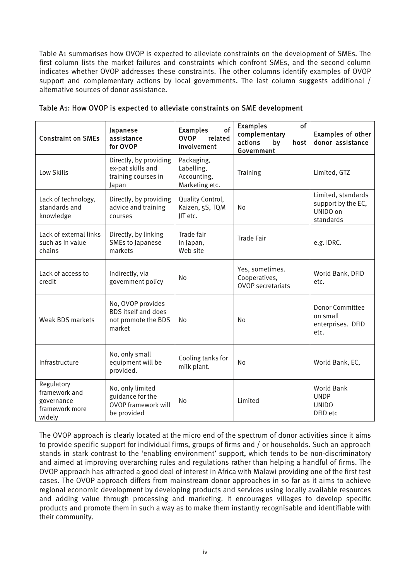Table A1 summarises how OVOP is expected to alleviate constraints on the development of SMEs. The first column lists the market failures and constraints which confront SMEs, and the second column indicates whether OVOP addresses these constraints. The other columns identify examples of OVOP support and complementary actions by local governments. The last column suggests additional / alternative sources of donor assistance.

| <b>Constraint on SMEs</b>                                             | Japanese<br>assistance<br>for OVOP                                                | of<br><b>Examples</b><br><b>OVOP</b><br>related<br>involvement | <b>Examples</b><br><b>of</b><br>complementary<br>actions<br>by<br>host<br>Government | <b>Examples of other</b><br>donor assistance                      |
|-----------------------------------------------------------------------|-----------------------------------------------------------------------------------|----------------------------------------------------------------|--------------------------------------------------------------------------------------|-------------------------------------------------------------------|
| Low Skills                                                            | Directly, by providing<br>ex-pat skills and<br>training courses in<br>Japan       | Packaging,<br>Labelling,<br>Accounting,<br>Marketing etc.      | Training                                                                             | Limited, GTZ                                                      |
| Lack of technology,<br>standards and<br>knowledge                     | Directly, by providing<br>advice and training<br>courses                          | Quality Control,<br>Kaizen, 5S, TQM<br>JIT etc.                | No                                                                                   | Limited, standards<br>support by the EC,<br>UNIDO on<br>standards |
| Lack of external links<br>such as in value<br>chains                  | Directly, by linking<br>SMEs to Japanese<br>markets                               | Trade fair<br>in Japan,<br>Web site                            | <b>Trade Fair</b>                                                                    | e.g. IDRC.                                                        |
| Lack of access to<br>credit                                           | Indirectly, via<br>government policy                                              | <b>No</b>                                                      | Yes, sometimes.<br>Cooperatives,<br><b>OVOP</b> secretariats                         | World Bank, DFID<br>etc.                                          |
| <b>Weak BDS markets</b>                                               | No, OVOP provides<br><b>BDS</b> itself and does<br>not promote the BDS<br>market  | No                                                             | <b>No</b>                                                                            | <b>Donor Committee</b><br>on small<br>enterprises. DFID<br>etc.   |
| Infrastructure                                                        | No, only small<br>equipment will be<br>provided.                                  | Cooling tanks for<br>milk plant.                               | No                                                                                   | World Bank, EC,                                                   |
| Regulatory<br>framework and<br>governance<br>framework more<br>widely | No, only limited<br>guidance for the<br><b>OVOP framework will</b><br>be provided | No                                                             | Limited                                                                              | <b>World Bank</b><br><b>UNDP</b><br><b>UNIDO</b><br>DFID etc      |

#### Table A1: How OVOP is expected to alleviate constraints on SME development

The OVOP approach is clearly located at the micro end of the spectrum of donor activities since it aims to provide specific support for individual firms, groups of firms and / or households. Such an approach stands in stark contrast to the 'enabling environment' support, which tends to be non-discriminatory and aimed at improving overarching rules and regulations rather than helping a handful of firms. The OVOP approach has attracted a good deal of interest in Africa with Malawi providing one of the first test cases. The OVOP approach differs from mainstream donor approaches in so far as it aims to achieve regional economic development by developing products and services using locally available resources and adding value through processing and marketing. It encourages villages to develop specific products and promote them in such a way as to make them instantly recognisable and identifiable with their community.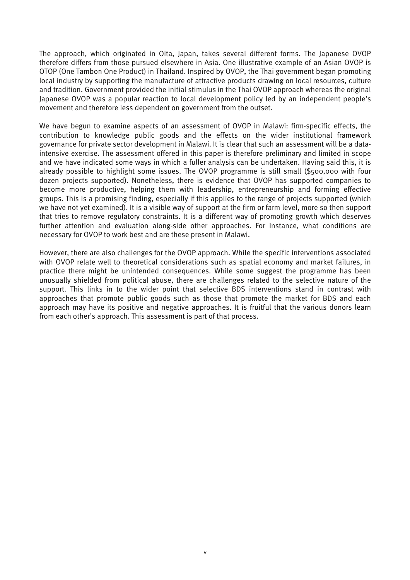The approach, which originated in Oita, Japan, takes several different forms. The Japanese OVOP therefore differs from those pursued elsewhere in Asia. One illustrative example of an Asian OVOP is OTOP (One Tambon One Product) in Thailand. Inspired by OVOP, the Thai government began promoting local industry by supporting the manufacture of attractive products drawing on local resources, culture and tradition. Government provided the initial stimulus in the Thai OVOP approach whereas the original Japanese OVOP was a popular reaction to local development policy led by an independent people's movement and therefore less dependent on government from the outset.

We have begun to examine aspects of an assessment of OVOP in Malawi: firm-specific effects, the contribution to knowledge public goods and the effects on the wider institutional framework governance for private sector development in Malawi. It is clear that such an assessment will be a dataintensive exercise. The assessment offered in this paper is therefore preliminary and limited in scope and we have indicated some ways in which a fuller analysis can be undertaken. Having said this, it is already possible to highlight some issues. The OVOP programme is still small (\$500,000 with four dozen projects supported). Nonetheless, there is evidence that OVOP has supported companies to become more productive, helping them with leadership, entrepreneurship and forming effective groups. This is a promising finding, especially if this applies to the range of projects supported (which we have not yet examined). It is a visible way of support at the firm or farm level, more so then support that tries to remove regulatory constraints. It is a different way of promoting growth which deserves further attention and evaluation along-side other approaches. For instance, what conditions are necessary for OVOP to work best and are these present in Malawi.

However, there are also challenges for the OVOP approach. While the specific interventions associated with OVOP relate well to theoretical considerations such as spatial economy and market failures, in practice there might be unintended consequences. While some suggest the programme has been unusually shielded from political abuse, there are challenges related to the selective nature of the support. This links in to the wider point that selective BDS interventions stand in contrast with approaches that promote public goods such as those that promote the market for BDS and each approach may have its positive and negative approaches. It is fruitful that the various donors learn from each other's approach. This assessment is part of that process.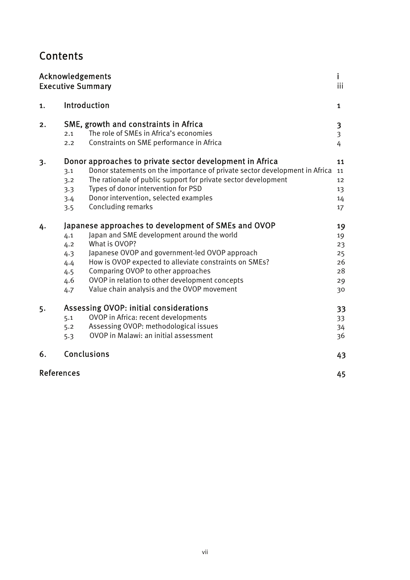## **Contents**

|            | Acknowledgements<br><b>Executive Summary</b>                                                                                                                                                                                                                                                                                                                                                                          | iii                                          |
|------------|-----------------------------------------------------------------------------------------------------------------------------------------------------------------------------------------------------------------------------------------------------------------------------------------------------------------------------------------------------------------------------------------------------------------------|----------------------------------------------|
| 1.         | Introduction                                                                                                                                                                                                                                                                                                                                                                                                          | $\mathbf{1}$                                 |
| 2.         | SME, growth and constraints in Africa<br>The role of SMEs in Africa's economies<br>2.1<br>Constraints on SME performance in Africa<br>2.2                                                                                                                                                                                                                                                                             | 3<br>$\overline{\mathbf{3}}$<br>4            |
| 3.         | Donor approaches to private sector development in Africa<br>Donor statements on the importance of private sector development in Africa<br>3.1<br>The rationale of public support for private sector development<br>3.2<br>Types of donor intervention for PSD<br>3.3<br>Donor intervention, selected examples<br>3.4<br>Concluding remarks<br>3.5                                                                     | 11<br>11<br>12<br>13<br>14<br>17             |
| 4.         | Japanese approaches to development of SMEs and OVOP<br>Japan and SME development around the world<br>4.1<br>What is OVOP?<br>4.2<br>Japanese OVOP and government-led OVOP approach<br>4.3<br>How is OVOP expected to alleviate constraints on SMEs?<br>4.4<br>Comparing OVOP to other approaches<br>4.5<br>OVOP in relation to other development concepts<br>4.6<br>Value chain analysis and the OVOP movement<br>4.7 | 19<br>19<br>23<br>25<br>26<br>28<br>29<br>30 |
| 5.         | Assessing OVOP: initial considerations<br>OVOP in Africa: recent developments<br>5.1<br>Assessing OVOP: methodological issues<br>5.2<br>OVOP in Malawi: an initial assessment<br>5.3                                                                                                                                                                                                                                  | 33<br>33<br>34<br>36                         |
| 6.         | Conclusions                                                                                                                                                                                                                                                                                                                                                                                                           | 43                                           |
| References |                                                                                                                                                                                                                                                                                                                                                                                                                       | 45                                           |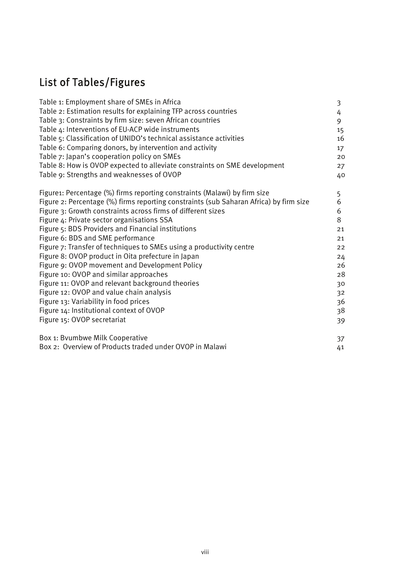## List of Tables/Figures

| Table 1: Employment share of SMEs in Africa                                            | 3                 |
|----------------------------------------------------------------------------------------|-------------------|
| Table 2: Estimation results for explaining TFP across countries                        | 4                 |
| Table 3: Constraints by firm size: seven African countries                             | 9                 |
| Table 4: Interventions of EU-ACP wide instruments                                      | 15                |
| Table 5: Classification of UNIDO's technical assistance activities                     | 16                |
| Table 6: Comparing donors, by intervention and activity                                | $17 \overline{ }$ |
| Table 7: Japan's cooperation policy on SMEs                                            | 20                |
| Table 8: How is OVOP expected to alleviate constraints on SME development              | 27                |
| Table 9: Strengths and weaknesses of OVOP                                              | 40                |
| Figure1: Percentage (%) firms reporting constraints (Malawi) by firm size              | 5                 |
| Figure 2: Percentage (%) firms reporting constraints (sub Saharan Africa) by firm size | 6                 |
| Figure 3: Growth constraints across firms of different sizes                           | 6                 |
| Figure 4: Private sector organisations SSA                                             | 8                 |
| Figure 5: BDS Providers and Financial institutions                                     | 21                |
| Figure 6: BDS and SME performance                                                      | 21                |
| Figure 7: Transfer of techniques to SMEs using a productivity centre                   | 22                |
| Figure 8: OVOP product in Oita prefecture in Japan                                     | 24                |
| Figure 9: OVOP movement and Development Policy                                         | 26                |
| Figure 10: OVOP and similar approaches                                                 | 28                |
| Figure 11: OVOP and relevant background theories                                       | 30                |
| Figure 12: OVOP and value chain analysis                                               | 32                |
| Figure 13: Variability in food prices                                                  | 36                |
| Figure 14: Institutional context of OVOP                                               | 38                |
| Figure 15: OVOP secretariat                                                            | 39                |
| Box 1: Bvumbwe Milk Cooperative                                                        | 37                |
| Box 2: Overview of Products traded under OVOP in Malawi                                | 41                |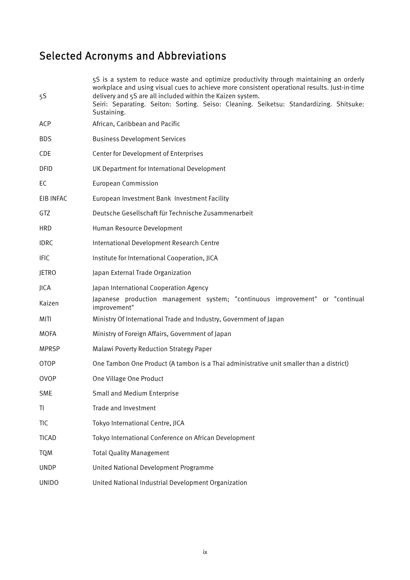## Selected Acronyms and Abbreviations

| 5S           | 5S is a system to reduce waste and optimize productivity through maintaining an orderly<br>workplace and using visual cues to achieve more consistent operational results. Just-in-time<br>delivery and 5S are all included within the Kaizen system. |
|--------------|-------------------------------------------------------------------------------------------------------------------------------------------------------------------------------------------------------------------------------------------------------|
|              | Seiri: Separating. Seiton: Sorting. Seiso: Cleaning. Seiketsu: Standardizing. Shitsuke:<br>Sustaining.                                                                                                                                                |
| ACP          | African, Caribbean and Pacific                                                                                                                                                                                                                        |
| <b>BDS</b>   | <b>Business Development Services</b>                                                                                                                                                                                                                  |
| <b>CDE</b>   | Center for Development of Enterprises                                                                                                                                                                                                                 |
| <b>DFID</b>  | UK Department for International Development                                                                                                                                                                                                           |
| EC           | <b>European Commission</b>                                                                                                                                                                                                                            |
| EIB INFAC    | European Investment Bank Investment Facility                                                                                                                                                                                                          |
| GTZ          | Deutsche Gesellschaft für Technische Zusammenarbeit                                                                                                                                                                                                   |
| <b>HRD</b>   | Human Resource Development                                                                                                                                                                                                                            |
| <b>IDRC</b>  | International Development Research Centre                                                                                                                                                                                                             |
| <b>IFIC</b>  | Institute for International Cooperation, JICA                                                                                                                                                                                                         |
| <b>JETRO</b> | Japan External Trade Organization                                                                                                                                                                                                                     |
| <b>JICA</b>  | Japan International Cooperation Agency                                                                                                                                                                                                                |
| Kaizen       | Japanese production management system; "continuous improvement" or "continual<br>improvement"                                                                                                                                                         |
| MITI         | Ministry Of International Trade and Industry, Government of Japan                                                                                                                                                                                     |
| <b>MOFA</b>  | Ministry of Foreign Affairs, Government of Japan                                                                                                                                                                                                      |
| <b>MPRSP</b> | Malawi Poverty Reduction Strategy Paper                                                                                                                                                                                                               |
| <b>OTOP</b>  | One Tambon One Product (A tambon is a Thai administrative unit smaller than a district)                                                                                                                                                               |
| <b>OVOP</b>  | One Village One Product                                                                                                                                                                                                                               |
| <b>SME</b>   | Small and Medium Enterprise                                                                                                                                                                                                                           |
| TI           | Trade and Investment                                                                                                                                                                                                                                  |
| <b>TIC</b>   | Tokyo International Centre, JICA                                                                                                                                                                                                                      |
| <b>TICAD</b> | Tokyo International Conference on African Development                                                                                                                                                                                                 |
| <b>TQM</b>   | <b>Total Quality Management</b>                                                                                                                                                                                                                       |
| <b>UNDP</b>  | United National Development Programme                                                                                                                                                                                                                 |
| <b>UNIDO</b> | United National Industrial Development Organization                                                                                                                                                                                                   |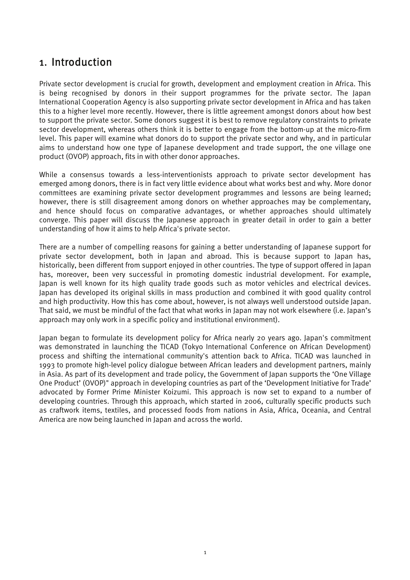## 1. Introduction

Private sector development is crucial for growth, development and employment creation in Africa. This is being recognised by donors in their support programmes for the private sector. The Japan International Cooperation Agency is also supporting private sector development in Africa and has taken this to a higher level more recently. However, there is little agreement amongst donors about how best to support the private sector. Some donors suggest it is best to remove regulatory constraints to private sector development, whereas others think it is better to engage from the bottom-up at the micro-firm level. This paper will examine what donors do to support the private sector and why, and in particular aims to understand how one type of Japanese development and trade support, the one village one product (OVOP) approach, fits in with other donor approaches.

While a consensus towards a less-interventionists approach to private sector development has emerged among donors, there is in fact very little evidence about what works best and why. More donor committees are examining private sector development programmes and lessons are being learned; however, there is still disagreement among donors on whether approaches may be complementary, and hence should focus on comparative advantages, or whether approaches should ultimately converge. This paper will discuss the Japanese approach in greater detail in order to gain a better understanding of how it aims to help Africa's private sector.

There are a number of compelling reasons for gaining a better understanding of Japanese support for private sector development, both in Japan and abroad. This is because support to Japan has, historically, been different from support enjoyed in other countries. The type of support offered in Japan has, moreover, been very successful in promoting domestic industrial development. For example, Japan is well known for its high quality trade goods such as motor vehicles and electrical devices. Japan has developed its original skills in mass production and combined it with good quality control and high productivity. How this has come about, however, is not always well understood outside Japan. That said, we must be mindful of the fact that what works in Japan may not work elsewhere (i.e. Japan's approach may only work in a specific policy and institutional environment).

Japan began to formulate its development policy for Africa nearly 20 years ago. Japan's commitment was demonstrated in launching the TICAD (Tokyo International Conference on African Development) process and shifting the international community's attention back to Africa. TICAD was launched in 1993 to promote high-level policy dialogue between African leaders and development partners, mainly in Asia. As part of its development and trade policy, the Government of Japan supports the 'One Village One Product' (OVOP)" approach in developing countries as part of the 'Development Initiative for Trade' advocated by Former Prime Minister Koizumi. This approach is now set to expand to a number of developing countries. Through this approach, which started in 2006, culturally specific products such as craftwork items, textiles, and processed foods from nations in Asia, Africa, Oceania, and Central America are now being launched in Japan and across the world.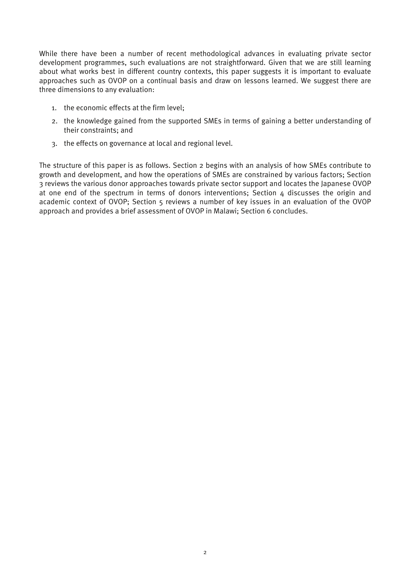While there have been a number of recent methodological advances in evaluating private sector development programmes, such evaluations are not straightforward. Given that we are still learning about what works best in different country contexts, this paper suggests it is important to evaluate approaches such as OVOP on a continual basis and draw on lessons learned. We suggest there are three dimensions to any evaluation:

- 1. the economic effects at the firm level;
- 2. the knowledge gained from the supported SMEs in terms of gaining a better understanding of their constraints; and
- 3. the effects on governance at local and regional level.

The structure of this paper is as follows. Section 2 begins with an analysis of how SMEs contribute to growth and development, and how the operations of SMEs are constrained by various factors; Section 3 reviews the various donor approaches towards private sector support and locates the Japanese OVOP at one end of the spectrum in terms of donors interventions: Section  $\Delta$  discusses the origin and academic context of OVOP; Section 5 reviews a number of key issues in an evaluation of the OVOP approach and provides a brief assessment of OVOP in Malawi; Section 6 concludes.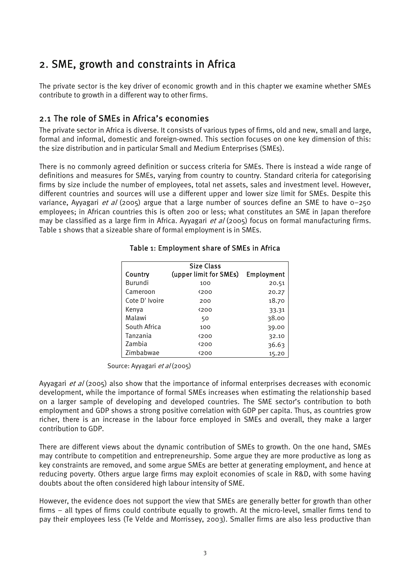## 2. SME, growth and constraints in Africa

The private sector is the key driver of economic growth and in this chapter we examine whether SMEs contribute to growth in a different way to other firms.

#### 2.1 The role of SMEs in Africa's economies

The private sector in Africa is diverse. It consists of various types of firms, old and new, small and large, formal and informal, domestic and foreign-owned. This section focuses on one key dimension of this: the size distribution and in particular Small and Medium Enterprises (SMEs).

There is no commonly agreed definition or success criteria for SMEs. There is instead a wide range of definitions and measures for SMEs, varying from country to country. Standard criteria for categorising firms by size include the number of employees, total net assets, sales and investment level. However, different countries and sources will use a different upper and lower size limit for SMEs. Despite this variance, Ayyagari *et al* (2005) argue that a large number of sources define an SME to have  $0-250$ employees; in African countries this is often 200 or less; what constitutes an SME in Japan therefore may be classified as a large firm in Africa. Ayyagari et al (2005) focus on formal manufacturing firms. Table 1 shows that a sizeable share of formal employment is in SMEs.

| Country        | Size Class<br>(upper limit for SMEs) | Employment |
|----------------|--------------------------------------|------------|
| Burundi        | 100                                  | 20.51      |
| Cameroon       | 4200                                 | 20.27      |
| Cote D' Ivoire | 200                                  | 18.70      |
| Kenva          | $200$                                | 33.31      |
| Malawi         | 50                                   | 38.00      |
| South Africa   | 100                                  | 39.00      |
| Tanzania       | $200$                                | 32.10      |
| Zambia         | $200$                                | 36.63      |
| Zimbabwae      | $200$                                | 15.20      |

#### Table 1: Employment share of SMEs in Africa

Source: Ayyagari et al (2005)

Ayyagari *et al* (2005) also show that the importance of informal enterprises decreases with economic development, while the importance of formal SMEs increases when estimating the relationship based on a larger sample of developing and developed countries. The SME sector's contribution to both employment and GDP shows a strong positive correlation with GDP per capita. Thus, as countries grow richer, there is an increase in the labour force employed in SMEs and overall, they make a larger contribution to GDP.

There are different views about the dynamic contribution of SMEs to growth. On the one hand, SMEs may contribute to competition and entrepreneurship. Some argue they are more productive as long as key constraints are removed, and some argue SMEs are better at generating employment, and hence at reducing poverty. Others argue large firms may exploit economies of scale in R&D, with some having doubts about the often considered high labour intensity of SME.

However, the evidence does not support the view that SMEs are generally better for growth than other firms – all types of firms could contribute equally to growth. At the micro-level, smaller firms tend to pay their employees less (Te Velde and Morrissey, 2003). Smaller firms are also less productive than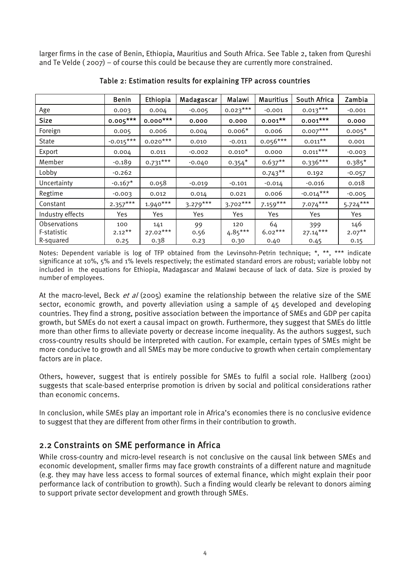larger firms in the case of Benin, Ethiopia, Mauritius and South Africa. See Table 2, taken from Qureshi and Te Velde ( 2007) – of course this could be because they are currently more constrained.

|                     | Benin       | Ethiopia   | Madagascar | Malawi     | <b>Mauritius</b> | South Africa | Zambia     |
|---------------------|-------------|------------|------------|------------|------------------|--------------|------------|
| Age                 | 0.003       | 0.004      | $-0.005$   | $0.023***$ | $-0.001$         | $0.013***$   | $-0.001$   |
| <b>Size</b>         | $0.005***$  | $0.000***$ | 0.000      | 0.000      | $0.001***$       | $0.001***$   | 0.000      |
| Foreign             | 0.005       | 0.006      | 0.004      | $0.006*$   | 0.006            | $0.007***$   | $0.005*$   |
| <b>State</b>        | $-0.015***$ | $0.020***$ | 0.010      | $-0.011$   | $0.056***$       | $0.011***$   | 0.001      |
| Export              | 0.004       | 0.011      | $-0.002$   | $0.010*$   | 0.000            | $0.011***$   | $-0.003$   |
| Member              | $-0.189$    | $0.731***$ | $-0.040$   | $0.354*$   | $0.637**$        | $0.336***$   | $0.385*$   |
| Lobby               | $-0.262$    |            |            |            | $0.743***$       | 0.192        | $-0.057$   |
| Uncertainty         | $-0.167*$   | 0.058      | $-0.019$   | $-0.101$   | $-0.014$         | $-0.016$     | 0.018      |
| Regtime             | $-0.003$    | 0.012      | 0.014      | 0.021      | 0.006            | $-0.014***$  | $-0.005$   |
| Constant            | $2.357***$  | $1.940***$ | $3.279***$ | $3.702***$ | $7.159***$       | $7.074***$   | $5.724***$ |
| Industry effects    | Yes         | Yes.       | Yes        | Yes.       | Yes              | Yes.         | Yes.       |
| <b>Observations</b> | 100         | 141        | 99         | 120        | 64               | 399          | 146        |
| F-statistic         | $2.12***$   | $27.02***$ | 0.56       | $4.85***$  | $6.02***$        | $27.14***$   | $2.07***$  |
| R-squared           | 0.25        | 0.38       | 0.23       | 0.30       | 0.40             | 0.45         | 0.15       |

Table 2: Estimation results for explaining TFP across countries

Notes: Dependent variable is log of TFP obtained from the Levinsohn-Petrin technique; \*, \*\*, \*\*\* indicate significance at 10%, 5% and 1% levels respectively; the estimated standard errors are robust; variable lobby not included in the equations for Ethiopia, Madagascar and Malawi because of lack of data. Size is proxied by number of employees.

At the macro-level, Beck et al (2005) examine the relationship between the relative size of the SME sector, economic growth, and poverty alleviation using a sample of 45 developed and developing countries. They find a strong, positive association between the importance of SMEs and GDP per capita growth, but SMEs do not exert a causal impact on growth. Furthermore, they suggest that SMEs do little more than other firms to alleviate poverty or decrease income inequality. As the authors suggest, such cross-country results should be interpreted with caution. For example, certain types of SMEs might be more conducive to growth and all SMEs may be more conducive to growth when certain complementary factors are in place.

Others, however, suggest that is entirely possible for SMEs to fulfil a social role. Hallberg (2001) suggests that scale-based enterprise promotion is driven by social and political considerations rather than economic concerns.

In conclusion, while SMEs play an important role in Africa's economies there is no conclusive evidence to suggest that they are different from other firms in their contribution to growth.

#### 2.2 Constraints on SME performance in Africa

While cross-country and micro-level research is not conclusive on the causal link between SMEs and economic development, smaller firms may face growth constraints of a different nature and magnitude (e.g. they may have less access to formal sources of external finance, which might explain their poor performance lack of contribution to growth). Such a finding would clearly be relevant to donors aiming to support private sector development and growth through SMEs.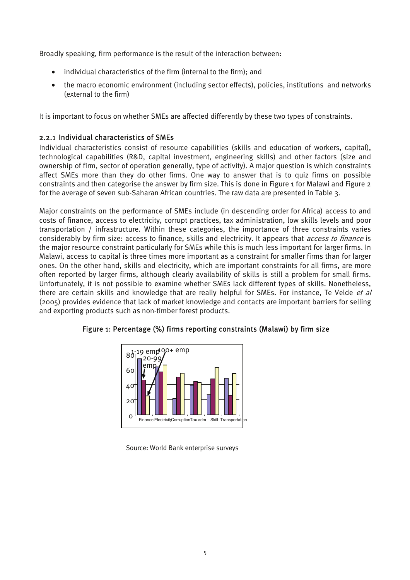Broadly speaking, firm performance is the result of the interaction between:

- individual characteristics of the firm (internal to the firm); and
- the macro economic environment (including sector effects), policies, institutions and networks (external to the firm)

It is important to focus on whether SMEs are affected differently by these two types of constraints.

#### 2.2.1 Individual characteristics of SMEs

Individual characteristics consist of resource capabilities (skills and education of workers, capital), technological capabilities (R&D, capital investment, engineering skills) and other factors (size and ownership of firm, sector of operation generally, type of activity). A major question is which constraints affect SMEs more than they do other firms. One way to answer that is to quiz firms on possible constraints and then categorise the answer by firm size. This is done in Figure 1 for Malawi and Figure 2 for the average of seven sub-Saharan African countries. The raw data are presented in Table 3.

Major constraints on the performance of SMEs include (in descending order for Africa) access to and costs of finance, access to electricity, corrupt practices, tax administration, low skills levels and poor transportation / infrastructure. Within these categories, the importance of three constraints varies considerably by firm size: access to finance, skills and electricity. It appears that *access to finance* is the major resource constraint particularly for SMEs while this is much less important for larger firms. In Malawi, access to capital is three times more important as a constraint for smaller firms than for larger ones. On the other hand, skills and electricity, which are important constraints for all firms, are more often reported by larger firms, although clearly availability of skills is still a problem for small firms. Unfortunately, it is not possible to examine whether SMEs lack different types of skills. Nonetheless, there are certain skills and knowledge that are really helpful for SMEs. For instance, Te Velde et al (2005) provides evidence that lack of market knowledge and contacts are important barriers for selling and exporting products such as non-timber forest products.



Figure 1: Percentage (%) firms reporting constraints (Malawi) by firm size

Source: World Bank enterprise surveys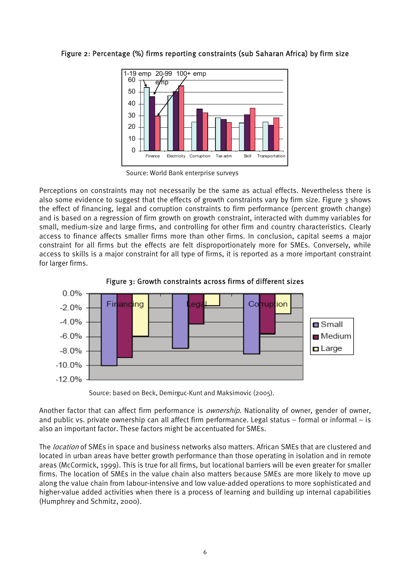#### Figure 2: Percentage (%) firms reporting constraints (sub Saharan Africa) by firm size



Source: World Bank enterprise surveys

Perceptions on constraints may not necessarily be the same as actual effects. Nevertheless there is also some evidence to suggest that the effects of growth constraints vary by firm size. Figure 3 shows the effect of financing, legal and corruption constraints to firm performance (percent growth change) and is based on a regression of firm growth on growth constraint, interacted with dummy variables for small, medium-size and large firms, and controlling for other firm and country characteristics. Clearly access to finance affects smaller firms more than other firms. In conclusion, capital seems a major constraint for all firms but the effects are felt disproportionately more for SMEs. Conversely, while access to skills is a major constraint for all type of firms, it is reported as a more important constraint for larger firms.



Figure 3: Growth constraints across firms of different sizes

Source: based on Beck, Demirguc-Kunt and Maksimovic (2005).

Another factor that can affect firm performance is *ownership*. Nationality of owner, gender of owner, and public vs. private ownership can all affect firm performance. Legal status – formal or informal – is also an important factor. These factors might be accentuated for SMEs.

The *location* of SMEs in space and business networks also matters. African SMEs that are clustered and located in urban areas have better growth performance than those operating in isolation and in remote areas (McCormick, 1999). This is true for all firms, but locational barriers will be even greater for smaller firms. The location of SMEs in the value chain also matters because SMEs are more likely to move up along the value chain from labour-intensive and low value-added operations to more sophisticated and higher-value added activities when there is a process of learning and building up internal capabilities (Humphrey and Schmitz, 2000).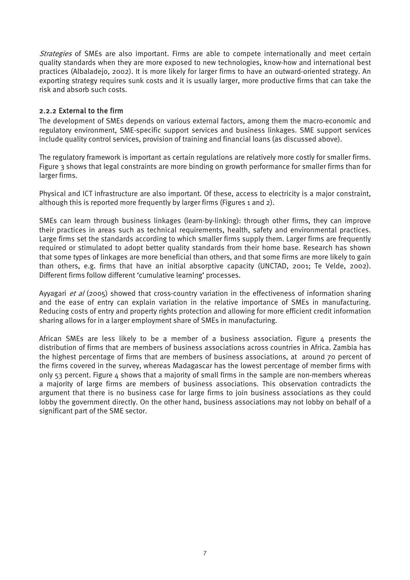Strategies of SMEs are also important. Firms are able to compete internationally and meet certain quality standards when they are more exposed to new technologies, know-how and international best practices (Albaladejo, 2002). It is more likely for larger firms to have an outward-oriented strategy. An exporting strategy requires sunk costs and it is usually larger, more productive firms that can take the risk and absorb such costs.

#### 2.2.2 External to the firm

The development of SMEs depends on various external factors, among them the macro-economic and regulatory environment, SME-specific support services and business linkages. SME support services include quality control services, provision of training and financial loans (as discussed above).

The regulatory framework is important as certain regulations are relatively more costly for smaller firms. Figure 3 shows that legal constraints are more binding on growth performance for smaller firms than for larger firms.

Physical and ICT infrastructure are also important. Of these, access to electricity is a major constraint, although this is reported more frequently by larger firms (Figures 1 and 2).

SMEs can learn through business linkages (learn-by-linking): through other firms, they can improve their practices in areas such as technical requirements, health, safety and environmental practices. Large firms set the standards according to which smaller firms supply them. Larger firms are frequently required or stimulated to adopt better quality standards from their home base. Research has shown that some types of linkages are more beneficial than others, and that some firms are more likely to gain than others, e.g. firms that have an initial absorptive capacity (UNCTAD, 2001; Te Velde, 2002). Different firms follow different 'cumulative learning' processes.

Ayyagari et al (2005) showed that cross-country variation in the effectiveness of information sharing and the ease of entry can explain variation in the relative importance of SMEs in manufacturing. Reducing costs of entry and property rights protection and allowing for more efficient credit information sharing allows for in a larger employment share of SMEs in manufacturing.

African SMEs are less likely to be a member of a business association. Figure 4 presents the distribution of firms that are members of business associations across countries in Africa. Zambia has the highest percentage of firms that are members of business associations, at around 70 percent of the firms covered in the survey, whereas Madagascar has the lowest percentage of member firms with only  $53$  percent. Figure  $\Delta$  shows that a majority of small firms in the sample are non-members whereas a majority of large firms are members of business associations. This observation contradicts the argument that there is no business case for large firms to join business associations as they could lobby the government directly. On the other hand, business associations may not lobby on behalf of a significant part of the SME sector.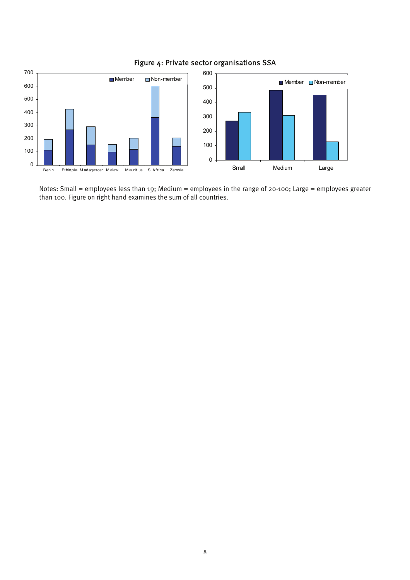

#### Figure 4: Private sector organisations SSA

Notes: Small = employees less than 19; Medium = employees in the range of 20-100; Large = employees greater than 100. Figure on right hand examines the sum of all countries.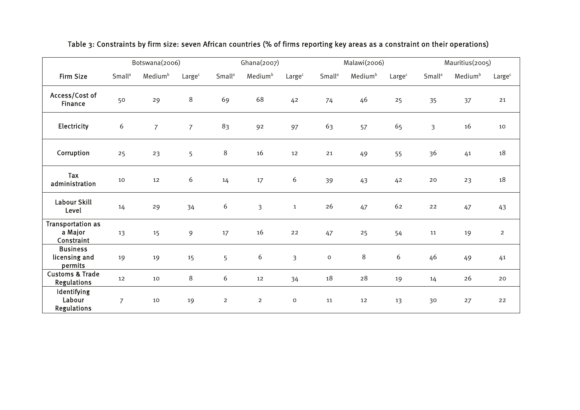|                                                   |                           | Botswana(2006)      |                    |                           | Ghana(2007)         |                    |                           | Malawi(2006)        |                    |                           | Mauritius(2005)     |                    |
|---------------------------------------------------|---------------------------|---------------------|--------------------|---------------------------|---------------------|--------------------|---------------------------|---------------------|--------------------|---------------------------|---------------------|--------------------|
| <b>Firm Size</b>                                  | <b>Small</b> <sup>a</sup> | Medium <sup>b</sup> | Large <sup>c</sup> | <b>Small</b> <sup>a</sup> | Medium <sup>b</sup> | Large <sup>c</sup> | <b>Small</b> <sup>a</sup> | Medium <sup>b</sup> | Large <sup>c</sup> | <b>Small</b> <sup>a</sup> | Medium <sup>b</sup> | Large <sup>c</sup> |
| Access/Cost of<br><b>Finance</b>                  | 50                        | 29                  | 8                  | 69                        | 68                  | 42                 | 74                        | 46                  | 25                 | 35                        | 37                  | 21                 |
| Electricity                                       | 6                         | $\overline{7}$      | $\overline{7}$     | 83                        | 92                  | 97                 | 63                        | 57                  | 65                 | $\overline{3}$            | 16                  | 10                 |
| Corruption                                        | 25                        | 23                  | 5                  | $\,8\,$                   | 16                  | 12                 | 21                        | 49                  | 55                 | 36                        | 41                  | 18                 |
| Tax<br>administration                             | 10                        | 12                  | 6                  | 14                        | 17                  | 6                  | 39                        | 43                  | 42                 | 20                        | 23                  | 18                 |
| <b>Labour Skill</b><br>Level                      | 14                        | 29                  | 34                 | 6                         | $\mathfrak{Z}$      | $\mathbf{1}$       | 26                        | 47                  | 62                 | 22                        | 47                  | 43                 |
| <b>Transportation as</b><br>a Major<br>Constraint | 13                        | 15                  | 9                  | 17                        | 16                  | 22                 | 47                        | 25                  | 54                 | 11                        | 19                  | $\overline{2}$     |
| <b>Business</b><br>licensing and<br>permits       | 19                        | 19                  | 15                 | 5                         | 6                   | $\overline{3}$     | $\mathsf{o}\xspace$       | 8                   | 6                  | 46                        | 49                  | 41                 |
| <b>Customs &amp; Trade</b><br><b>Regulations</b>  | 12                        | 10                  | 8                  | 6                         | 12                  | 34                 | 18                        | 28                  | 19                 | 14                        | 26                  | 20                 |
| Identifying<br>Labour<br><b>Regulations</b>       | $\overline{7}$            | 10                  | 19                 | $\overline{2}$            | $\overline{2}$      | $\mathsf O$        | 11                        | 12                  | 13                 | 30                        | 27                  | 22                 |

#### Table 3: Constraints by firm size: seven African countries (% of firms reporting key areas as a constraint on their operations)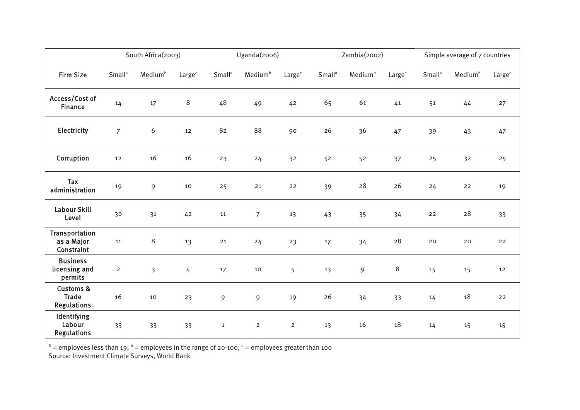|                                                            |                           | South Africa(2003)  |                    |                    | Uganda(2006)        |                    |                           | Zambia(2002)        |                    |                          | Simple average of 7 countries |                    |
|------------------------------------------------------------|---------------------------|---------------------|--------------------|--------------------|---------------------|--------------------|---------------------------|---------------------|--------------------|--------------------------|-------------------------------|--------------------|
| <b>Firm Size</b>                                           | <b>Small</b> <sup>a</sup> | Medium <sup>b</sup> | Large <sup>c</sup> | Small <sup>a</sup> | Medium <sup>b</sup> | Large <sup>c</sup> | <b>Small</b> <sup>a</sup> | Medium <sup>b</sup> | Large <sup>c</sup> | <b>Small<sup>a</sup></b> | Medium <sup>b</sup>           | Large <sup>c</sup> |
| Access/Cost of<br><b>Finance</b>                           | 14                        | 17                  | $\,8\,$            | 48                 | 49                  | 42                 | 65                        | 61                  | 41                 | 51                       | 44                            | 27                 |
| Electricity                                                | $\overline{7}$            | 6                   | 12                 | 82                 | 88                  | 90                 | 26                        | 36                  | 47                 | 39                       | 43                            | 47                 |
| Corruption                                                 | 12                        | 16                  | 16                 | 23                 | 24                  | 32                 | 52                        | 52                  | 37                 | 25                       | 32                            | 25                 |
| Tax<br>administration                                      | 19                        | 9                   | 10                 | 25                 | 21                  | 22                 | 39                        | 28                  | 26                 | 24                       | 22                            | 19                 |
| Labour Skill<br>Level                                      | 30                        | 31                  | 42                 | 11                 | $\overline{7}$      | 13                 | 43                        | 35                  | 34                 | 22                       | 28                            | 33                 |
| Transportation<br>as a Major<br>Constraint                 | 11                        | 8                   | 13                 | 21                 | 24                  | 23                 | 17                        | 34                  | 28                 | 20                       | 20                            | 22                 |
| <b>Business</b><br>licensing and<br>permits                | $\overline{2}$            | $\overline{3}$      | $\overline{4}$     | 17                 | 10                  | 5                  | 13                        | 9                   | $\,8\,$            | 15                       | 15                            | 12                 |
| <b>Customs &amp;</b><br><b>Trade</b><br><b>Regulations</b> | 16                        | 10                  | 23                 | 9                  | 9                   | 19                 | 26                        | 34                  | 33                 | 14                       | 18                            | 22                 |
| Identifying<br>Labour<br><b>Regulations</b>                | 33                        | 33                  | 33                 | $\mathbf{1}$       | $\overline{2}$      | $\overline{2}$     | 13                        | 16                  | 18                 | 14                       | 15                            | 15                 |

 $^{\rm a}$  = employees less than 19;  $^{\rm b}$  = employees in the range of 20-100;  $^{\rm c}$  = employees greater than 100 Source: Investment Climate Surveys, World Bank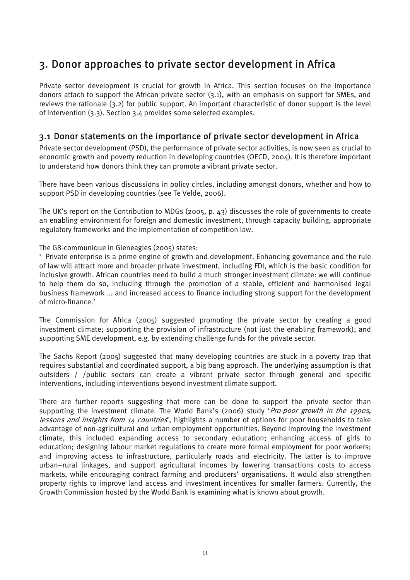## 3. Donor approaches to private sector development in Africa

Private sector development is crucial for growth in Africa. This section focuses on the importance donors attach to support the African private sector (3.1), with an emphasis on support for SMEs, and reviews the rationale (3.2) for public support. An important characteristic of donor support is the level of intervention (3.3). Section 3.4 provides some selected examples.

#### 3.1 Donor statements on the importance of private sector development in Africa

Private sector development (PSD), the performance of private sector activities, is now seen as crucial to economic growth and poverty reduction in developing countries (OECD, 2004). It is therefore important to understand how donors think they can promote a vibrant private sector.

There have been various discussions in policy circles, including amongst donors, whether and how to support PSD in developing countries (see Te Velde, 2006).

The UK's report on the Contribution to MDGs (2005, p. 43) discusses the role of governments to create an enabling environment for foreign and domestic investment, through capacity building, appropriate regulatory frameworks and the implementation of competition law.

The G8-communique in Gleneagles (2005) states:

' Private enterprise is a prime engine of growth and development. Enhancing governance and the rule of law will attract more and broader private investment, including FDI, which is the basic condition for inclusive growth. African countries need to build a much stronger investment climate: we will continue to help them do so, including through the promotion of a stable, efficient and harmonised legal business framework … and increased access to finance including strong support for the development of micro-finance.'

The Commission for Africa (2005) suggested promoting the private sector by creating a good investment climate; supporting the provision of infrastructure (not just the enabling framework); and supporting SME development, e.g. by extending challenge funds for the private sector.

The Sachs Report (2005) suggested that many developing countries are stuck in a poverty trap that requires substantial and coordinated support, a big bang approach. The underlying assumption is that outsiders / /public sectors can create a vibrant private sector through general and specific interventions, including interventions beyond investment climate support.

There are further reports suggesting that more can be done to support the private sector than supporting the investment climate. The World Bank's (2006) study '*Pro-poor growth in the 1990s*, lessons and insights from 14 countries', highlights a number of options for poor households to take advantage of non-agricultural and urban employment opportunities. Beyond improving the investment climate, this included expanding access to secondary education; enhancing access of girls to education; designing labour market regulations to create more formal employment for poor workers; and improving access to infrastructure, particularly roads and electricity. The latter is to improve urban–rural linkages, and support agricultural incomes by lowering transactions costs to access markets, while encouraging contract farming and producers' organisations. It would also strengthen property rights to improve land access and investment incentives for smaller farmers. Currently, the Growth Commission hosted by the World Bank is examining what is known about growth.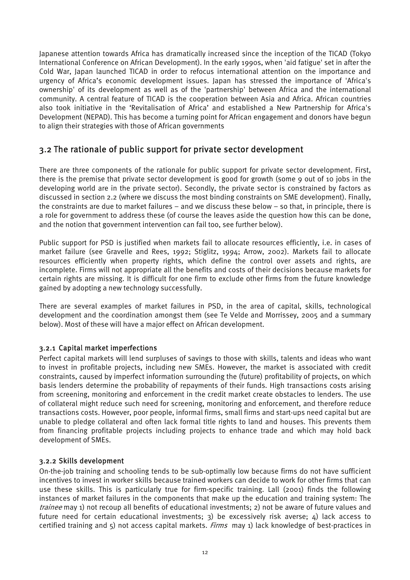Japanese attention towards Africa has dramatically increased since the inception of the TICAD (Tokyo International Conference on African Development). In the early 1990s, when 'aid fatigue' set in after the Cold War, Japan launched TICAD in order to refocus international attention on the importance and urgency of Africa's economic development issues. Japan has stressed the importance of 'Africa's ownership' of its development as well as of the 'partnership' between Africa and the international community. A central feature of TICAD is the cooperation between Asia and Africa. African countries also took initiative in the 'Revitalisation of Africa' and established a New Partnership for Africa's Development (NEPAD). This has become a turning point for African engagement and donors have begun to align their strategies with those of African governments

#### 3.2 The rationale of public support for private sector development

There are three components of the rationale for public support for private sector development. First, there is the premise that private sector development is good for growth (some 9 out of 10 jobs in the developing world are in the private sector). Secondly, the private sector is constrained by factors as discussed in section 2.2 (where we discuss the most binding constraints on SME development). Finally, the constraints are due to market failures – and we discuss these below – so that, in principle, there is a role for government to address these (of course the leaves aside the question how this can be done, and the notion that government intervention can fail too, see further below).

Public support for PSD is justified when markets fail to allocate resources efficiently, i.e. in cases of market failure (see Gravelle and Rees, 1992; Stiglitz, 1994; Arrow, 2002). Markets fail to allocate resources efficiently when property rights, which define the control over assets and rights, are incomplete. Firms will not appropriate all the benefits and costs of their decisions because markets for certain rights are missing. It is difficult for one firm to exclude other firms from the future knowledge gained by adopting a new technology successfully.

There are several examples of market failures in PSD, in the area of capital, skills, technological development and the coordination amongst them (see Te Velde and Morrissey, 2005 and a summary below). Most of these will have a major effect on African development.

#### 3.2.1 Capital market imperfections

Perfect capital markets will lend surpluses of savings to those with skills, talents and ideas who want to invest in profitable projects, including new SMEs. However, the market is associated with credit constraints, caused by imperfect information surrounding the (future) profitability of projects, on which basis lenders determine the probability of repayments of their funds. High transactions costs arising from screening, monitoring and enforcement in the credit market create obstacles to lenders. The use of collateral might reduce such need for screening, monitoring and enforcement, and therefore reduce transactions costs. However, poor people, informal firms, small firms and start-ups need capital but are unable to pledge collateral and often lack formal title rights to land and houses. This prevents them from financing profitable projects including projects to enhance trade and which may hold back development of SMEs.

#### 3.2.2 Skills development

On-the-job training and schooling tends to be sub-optimally low because firms do not have sufficient incentives to invest in worker skills because trained workers can decide to work for other firms that can use these skills. This is particularly true for firm-specific training. Lall (2001) finds the following instances of market failures in the components that make up the education and training system: The trainee may 1) not recoup all benefits of educational investments; 2) not be aware of future values and future need for certain educational investments; 3) be excessively risk averse;  $\Delta$ ) lack access to certified training and 5) not access capital markets. Firms may 1) lack knowledge of best-practices in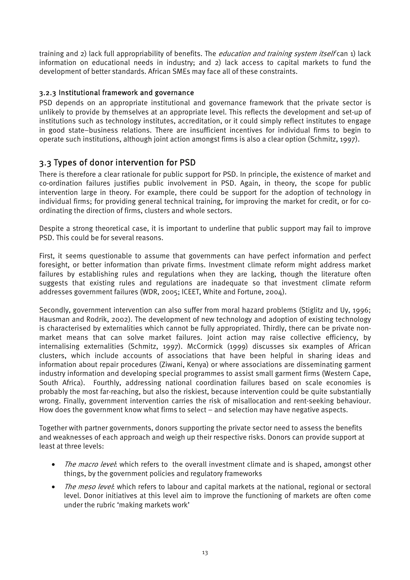training and 2) lack full appropriability of benefits. The *education and training system itself* can 1) lack information on educational needs in industry; and 2) lack access to capital markets to fund the development of better standards. African SMEs may face all of these constraints.

#### 3.2.3 Institutional framework and governance

PSD depends on an appropriate institutional and governance framework that the private sector is unlikely to provide by themselves at an appropriate level. This reflects the development and set-up of institutions such as technology institutes, accreditation, or it could simply reflect institutes to engage in good state–business relations. There are insufficient incentives for individual firms to begin to operate such institutions, although joint action amongst firms is also a clear option (Schmitz, 1997).

#### 3.3 Types of donor intervention for PSD

There is therefore a clear rationale for public support for PSD. In principle, the existence of market and co-ordination failures justifies public involvement in PSD. Again, in theory, the scope for public intervention large in theory. For example, there could be support for the adoption of technology in individual firms; for providing general technical training, for improving the market for credit, or for coordinating the direction of firms, clusters and whole sectors.

Despite a strong theoretical case, it is important to underline that public support may fail to improve PSD. This could be for several reasons.

First, it seems questionable to assume that governments can have perfect information and perfect foresight, or better information than private firms. Investment climate reform might address market failures by establishing rules and regulations when they are lacking, though the literature often suggests that existing rules and regulations are inadequate so that investment climate reform addresses government failures (WDR, 2005; ICEET, White and Fortune, 2004).

Secondly, government intervention can also suffer from moral hazard problems (Stiglitz and Uy, 1996; Hausman and Rodrik, 2002). The development of new technology and adoption of existing technology is characterised by externalities which cannot be fully appropriated. Thirdly, there can be private nonmarket means that can solve market failures. Joint action may raise collective efficiency, by internalising externalities (Schmitz, 1997). McCormick (1999) discusses six examples of African clusters, which include accounts of associations that have been helpful in sharing ideas and information about repair procedures (Ziwani, Kenya) or where associations are disseminating garment industry information and developing special programmes to assist small garment firms (Western Cape, South Africa). Fourthly, addressing national coordination failures based on scale economies is probably the most far-reaching, but also the riskiest, because intervention could be quite substantially wrong. Finally, government intervention carries the risk of misallocation and rent-seeking behaviour. How does the government know what firms to select – and selection may have negative aspects.

Together with partner governments, donors supporting the private sector need to assess the benefits and weaknesses of each approach and weigh up their respective risks. Donors can provide support at least at three levels:

- The macro level: which refers to the overall investment climate and is shaped, amongst other things, by the government policies and regulatory frameworks
- *The meso level:* which refers to labour and capital markets at the national, regional or sectoral level. Donor initiatives at this level aim to improve the functioning of markets are often come under the rubric 'making markets work'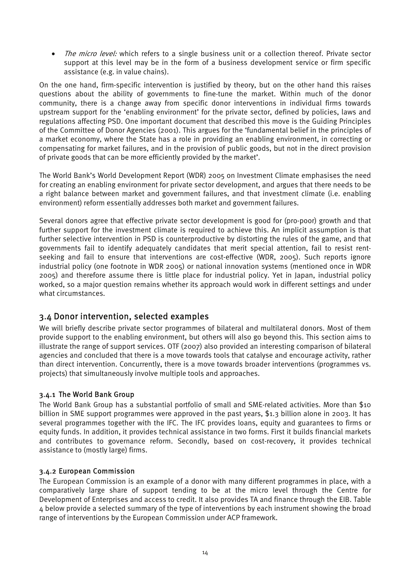• The micro level: which refers to a single business unit or a collection thereof. Private sector support at this level may be in the form of a business development service or firm specific assistance (e.g. in value chains).

On the one hand, firm-specific intervention is justified by theory, but on the other hand this raises questions about the ability of governments to fine-tune the market. Within much of the donor community, there is a change away from specific donor interventions in individual firms towards upstream support for the 'enabling environment' for the private sector, defined by policies, laws and regulations affecting PSD. One important document that described this move is the Guiding Principles of the Committee of Donor Agencies (2001). This argues for the 'fundamental belief in the principles of a market economy, where the State has a role in providing an enabling environment, in correcting or compensating for market failures, and in the provision of public goods, but not in the direct provision of private goods that can be more efficiently provided by the market'.

The World Bank's World Development Report (WDR) 2005 on Investment Climate emphasises the need for creating an enabling environment for private sector development, and argues that there needs to be a right balance between market and government failures, and that investment climate (i.e. enabling environment) reform essentially addresses both market and government failures.

Several donors agree that effective private sector development is good for (pro-poor) growth and that further support for the investment climate is required to achieve this. An implicit assumption is that further selective intervention in PSD is counterproductive by distorting the rules of the game, and that governments fail to identify adequately candidates that merit special attention, fail to resist rentseeking and fail to ensure that interventions are cost-effective (WDR, 2005). Such reports ignore industrial policy (one footnote in WDR 2005) or national innovation systems (mentioned once in WDR 2005) and therefore assume there is little place for industrial policy. Yet in Japan, industrial policy worked, so a major question remains whether its approach would work in different settings and under what circumstances.

#### 3.4 Donor intervention, selected examples

We will briefly describe private sector programmes of bilateral and multilateral donors. Most of them provide support to the enabling environment, but others will also go beyond this. This section aims to illustrate the range of support services. OTF (2007) also provided an interesting comparison of bilateral agencies and concluded that there is a move towards tools that catalyse and encourage activity, rather than direct intervention. Concurrently, there is a move towards broader interventions (programmes vs. projects) that simultaneously involve multiple tools and approaches.

#### 3.4.1 The World Bank Group

The World Bank Group has a substantial portfolio of small and SME-related activities. More than \$10 billion in SME support programmes were approved in the past years, \$1.3 billion alone in 2003. It has several programmes together with the IFC. The IFC provides loans, equity and guarantees to firms or equity funds. In addition, it provides technical assistance in two forms. First it builds financial markets and contributes to governance reform. Secondly, based on cost-recovery, it provides technical assistance to (mostly large) firms.

#### 3.4.2 European Commission

The European Commission is an example of a donor with many different programmes in place, with a comparatively large share of support tending to be at the micro level through the Centre for Development of Enterprises and access to credit. It also provides TA and finance through the EIB. Table 4 below provide a selected summary of the type of interventions by each instrument showing the broad range of interventions by the European Commission under ACP framework.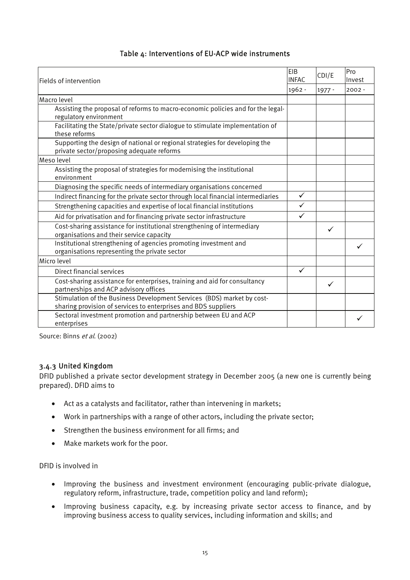#### Table 4: Interventions of EU-ACP wide instruments

| EIB<br><b>INFAC</b><br>Fields of intervention                                                                                            |              | CDI/E        | Pro<br>Invest |
|------------------------------------------------------------------------------------------------------------------------------------------|--------------|--------------|---------------|
|                                                                                                                                          | 1962 -       | 1977 -       | $2002 -$      |
| Macro level                                                                                                                              |              |              |               |
| Assisting the proposal of reforms to macro-economic policies and for the legal-<br>regulatory environment                                |              |              |               |
| Facilitating the State/private sector dialogue to stimulate implementation of<br>these reforms                                           |              |              |               |
| Supporting the design of national or regional strategies for developing the<br>private sector/proposing adequate reforms                 |              |              |               |
| Meso level                                                                                                                               |              |              |               |
| Assisting the proposal of strategies for modernising the institutional<br>environment                                                    |              |              |               |
| Diagnosing the specific needs of intermediary organisations concerned                                                                    |              |              |               |
| Indirect financing for the private sector through local financial intermediaries                                                         | $\checkmark$ |              |               |
| Strengthening capacities and expertise of local financial institutions                                                                   | $\checkmark$ |              |               |
| Aid for privatisation and for financing private sector infrastructure                                                                    | ✓            |              |               |
| Cost-sharing assistance for institutional strengthening of intermediary<br>organisations and their service capacity                      |              | $\checkmark$ |               |
| Institutional strengthening of agencies promoting investment and<br>organisations representing the private sector                        |              |              |               |
| Micro level                                                                                                                              |              |              |               |
| Direct financial services                                                                                                                | $\checkmark$ |              |               |
| Cost-sharing assistance for enterprises, training and aid for consultancy<br>partnerships and ACP advisory offices                       |              | ✓            |               |
| Stimulation of the Business Development Services (BDS) market by cost-<br>sharing provision of services to enterprises and BDS suppliers |              |              |               |
| Sectoral investment promotion and partnership between EU and ACP<br>enterprises                                                          |              |              |               |

Source: Binns et al. (2002)

#### 3.4.3 United Kingdom

DFID published a private sector development strategy in December 2005 (a new one is currently being prepared). DFID aims to

- Act as a catalysts and facilitator, rather than intervening in markets;
- Work in partnerships with a range of other actors, including the private sector;
- Strengthen the business environment for all firms; and
- Make markets work for the poor.

DFID is involved in

- Improving the business and investment environment (encouraging public-private dialogue, regulatory reform, infrastructure, trade, competition policy and land reform);
- Improving business capacity, e.g. by increasing private sector access to finance, and by improving business access to quality services, including information and skills; and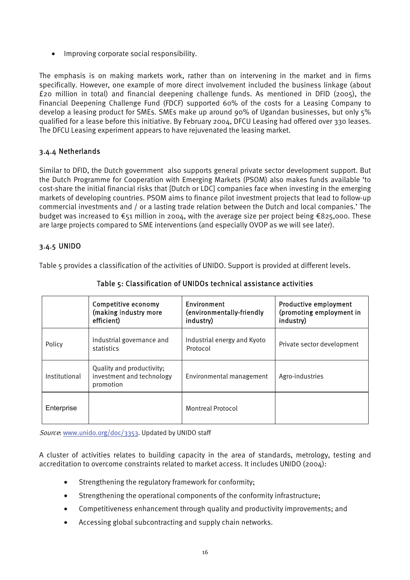• Improving corporate social responsibility.

The emphasis is on making markets work, rather than on intervening in the market and in firms specifically. However, one example of more direct involvement included the business linkage (about £20 million in total) and financial deepening challenge funds. As mentioned in DFID (2005), the Financial Deepening Challenge Fund (FDCF) supported 60% of the costs for a Leasing Company to develop a leasing product for SMEs. SMEs make up around 90% of Ugandan businesses, but only 5% qualified for a lease before this initiative. By February 2004, DFCU Leasing had offered over 330 leases. The DFCU Leasing experiment appears to have rejuvenated the leasing market.

#### 3.4.4 Netherlands

Similar to DFID, the Dutch government also supports general private sector development support. But the Dutch Programme for Cooperation with Emerging Markets (PSOM) also makes funds available 'to cost-share the initial financial risks that [Dutch or LDC] companies face when investing in the emerging markets of developing countries. PSOM aims to finance pilot investment projects that lead to follow-up commercial investments and / or a lasting trade relation between the Dutch and local companies.' The budget was increased to €51 million in 2004, with the average size per project being €825,000. These are large projects compared to SME interventions (and especially OVOP as we will see later).

#### 3.4.5 UNIDO

Table 5 provides a classification of the activities of UNIDO. Support is provided at different levels.

|               | Competitive economy<br>(making industry more<br>efficient)          | Environment<br>(environmentally-friendly<br>industry) | <b>Productive employment</b><br>(promoting employment in<br>industry) |
|---------------|---------------------------------------------------------------------|-------------------------------------------------------|-----------------------------------------------------------------------|
| Policy        | Industrial governance and<br>statistics                             | Industrial energy and Kyoto<br>Protocol               | Private sector development                                            |
| Institutional | Quality and productivity;<br>investment and technology<br>promotion | Environmental management                              | Agro-industries                                                       |
| Enterprise    |                                                                     | <b>Montreal Protocol</b>                              |                                                                       |

#### Table 5: Classification of UNIDOs technical assistance activities

Source: www.unido.org/doc/3353. Updated by UNIDO staff

A cluster of activities relates to building capacity in the area of standards, metrology, testing and accreditation to overcome constraints related to market access. It includes UNIDO (2004):

- Strengthening the regulatory framework for conformity;
- Strengthening the operational components of the conformity infrastructure;
- Competitiveness enhancement through quality and productivity improvements; and
- Accessing global subcontracting and supply chain networks.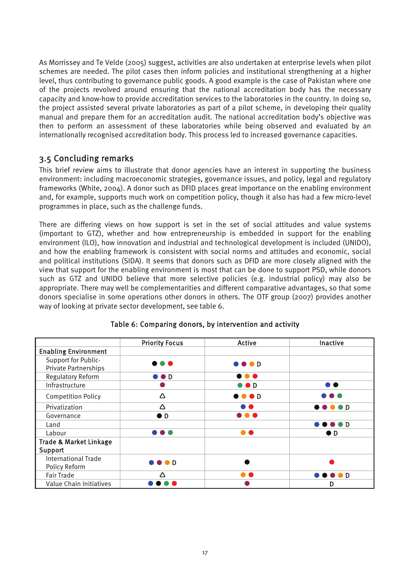As Morrissey and Te Velde (2005) suggest, activities are also undertaken at enterprise levels when pilot schemes are needed. The pilot cases then inform policies and institutional strengthening at a higher level, thus contributing to governance public goods. A good example is the case of Pakistan where one of the projects revolved around ensuring that the national accreditation body has the necessary capacity and know-how to provide accreditation services to the laboratories in the country. In doing so, the project assisted several private laboratories as part of a pilot scheme, in developing their quality manual and prepare them for an accreditation audit. The national accreditation body's objective was then to perform an assessment of these laboratories while being observed and evaluated by an internationally recognised accreditation body. This process led to increased governance capacities.

#### 3.5 Concluding remarks

This brief review aims to illustrate that donor agencies have an interest in supporting the business environment: including macroeconomic strategies, governance issues, and policy, legal and regulatory frameworks (White, 2004). A donor such as DFID places great importance on the enabling environment and, for example, supports much work on competition policy, though it also has had a few micro-level programmes in place, such as the challenge funds.

There are differing views on how support is set in the set of social attitudes and value systems (important to GTZ), whether and how entrepreneurship is embedded in support for the enabling environment (ILO), how innovation and industrial and technological development is included (UNIDO), and how the enabling framework is consistent with social norms and attitudes and economic, social and political institutions (SIDA). It seems that donors such as DFID are more closely aligned with the view that support for the enabling environment is most that can be done to support PSD, while donors such as GTZ and UNIDO believe that more selective policies (e.g. industrial policy) may also be appropriate. There may well be complementarities and different comparative advantages, so that some donors specialise in some operations other donors in others. The OTF group (2007) provides another way of looking at private sector development, see table 6.

|                                   | <b>Priority Focus</b>       | <b>Active</b>             | Inactive                         |
|-----------------------------------|-----------------------------|---------------------------|----------------------------------|
| <b>Enabling Environment</b>       |                             |                           |                                  |
| Support for Public-               |                             | $\bullet\bullet\bullet$ D |                                  |
| Private Partnerships              |                             |                           |                                  |
| <b>Regulatory Reform</b>          | $\bullet$ $\bullet$ D       | $\bullet\bullet\bullet$   |                                  |
| Infrastructure                    |                             | $\bullet$ $\bullet$ D     |                                  |
| <b>Competition Policy</b>         | Δ                           | $\bullet\bullet\bullet$ D | .                                |
| Privatization                     | Δ                           | . .                       | $\bullet\bullet\bullet\bullet$ D |
| Governance                        | $\bullet$ D                 | $\bullet\bullet\bullet$   |                                  |
| Land                              |                             |                           | <b>.</b> D                       |
| Labour                            | .                           |                           | $\bullet$ D                      |
| <b>Trade &amp; Market Linkage</b> |                             |                           |                                  |
| Support                           |                             |                           |                                  |
| <b>International Trade</b>        | $\bullet \bullet \bullet D$ |                           |                                  |
| Policy Reform                     |                             |                           |                                  |
| <b>Fair Trade</b>                 | Λ                           | a a                       | <b>.</b> D                       |
| Value Chain Initiatives           |                             |                           | D                                |

#### Table 6: Comparing donors, by intervention and activity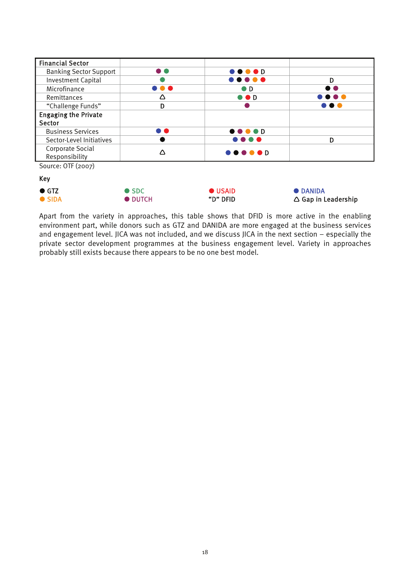| <b>Financial Sector</b>       |               |                                                   |                 |
|-------------------------------|---------------|---------------------------------------------------|-----------------|
| <b>Banking Sector Support</b> | D O           | $\bullet\bullet\bullet\bullet$ D                  |                 |
| <b>Investment Capital</b>     |               |                                                   | D               |
| Microfinance                  | .             | $\bullet$ D                                       | . .             |
| Remittances                   | Δ             | $\bullet$ $\bullet$ D                             | .               |
| "Challenge Funds"             | D             |                                                   | $\mathbf{r}$    |
| <b>Engaging the Private</b>   |               |                                                   |                 |
| Sector                        |               |                                                   |                 |
| <b>Business Services</b>      | D O           | $\bullet\bullet\bullet\bullet$ D                  |                 |
| Sector-Level Initiatives      |               | .                                                 | D               |
| Corporate Social              | Λ             | $\bullet \bullet \bullet \bullet \bullet \bullet$ |                 |
| Responsibility                |               |                                                   |                 |
| Source: OTF (2007)            |               |                                                   |                 |
| <b>Key</b>                    |               |                                                   |                 |
| $\bullet$ GTZ                 | $\bullet$ SDC | <b>USAID</b>                                      | <b>• DANIDA</b> |

● SIDA ● DUTCH ● TOTCH → TOTE → TOTE → TOTE → Gap in Leadership

Apart from the variety in approaches, this table shows that DFID is more active in the enabling environment part, while donors such as GTZ and DANIDA are more engaged at the business services and engagement level. JICA was not included, and we discuss JICA in the next section – especially the private sector development programmes at the business engagement level. Variety in approaches probably still exists because there appears to be no one best model.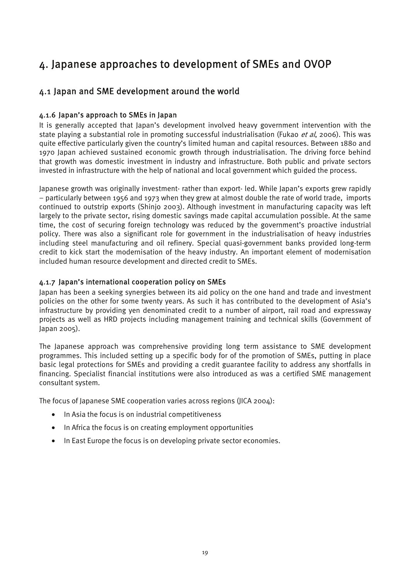## 4. Japanese approaches to development of SMEs and OVOP

#### 4.1 Japan and SME development around the world

#### 4.1.6 Japan's approach to SMEs in Japan

It is generally accepted that Japan's development involved heavy government intervention with the state playing a substantial role in promoting successful industrialisation (Fukao et al, 2006). This was quite effective particularly given the country's limited human and capital resources. Between 1880 and 1970 Japan achieved sustained economic growth through industrialisation. The driving force behind that growth was domestic investment in industry and infrastructure. Both public and private sectors invested in infrastructure with the help of national and local government which guided the process.

Japanese growth was originally investment- rather than export- led. While Japan's exports grew rapidly – particularly between 1956 and 1973 when they grew at almost double the rate of world trade, imports continued to outstrip exports (Shinjo 2003). Although investment in manufacturing capacity was left largely to the private sector, rising domestic savings made capital accumulation possible. At the same time, the cost of securing foreign technology was reduced by the government's proactive industrial policy. There was also a significant role for government in the industrialisation of heavy industries including steel manufacturing and oil refinery. Special quasi-government banks provided long-term credit to kick start the modernisation of the heavy industry. An important element of modernisation included human resource development and directed credit to SMEs.

#### 4.1.7 Japan's international cooperation policy on SMEs

Japan has been a seeking synergies between its aid policy on the one hand and trade and investment policies on the other for some twenty years. As such it has contributed to the development of Asia's infrastructure by providing yen denominated credit to a number of airport, rail road and expressway projects as well as HRD projects including management training and technical skills (Government of Japan 2005).

The Japanese approach was comprehensive providing long term assistance to SME development programmes. This included setting up a specific body for of the promotion of SMEs, putting in place basic legal protections for SMEs and providing a credit guarantee facility to address any shortfalls in financing. Specialist financial institutions were also introduced as was a certified SME management consultant system.

The focus of Japanese SME cooperation varies across regions (JICA 2004):

- In Asia the focus is on industrial competitiveness
- In Africa the focus is on creating employment opportunities
- In East Europe the focus is on developing private sector economies.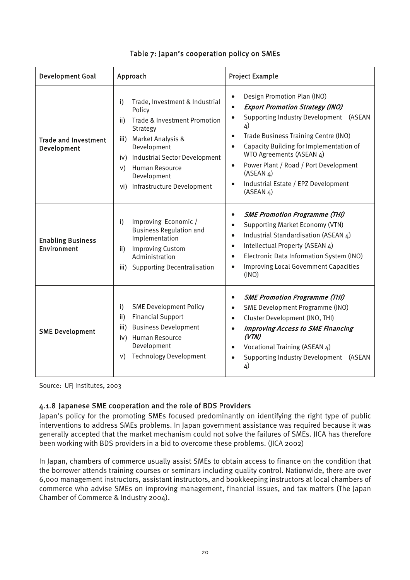| <b>Development Goal</b>                    | Approach                                                                                                                                                                                                                                                 | <b>Project Example</b>                                                                                                                                                                                                                                                                                                                                                                                                       |  |
|--------------------------------------------|----------------------------------------------------------------------------------------------------------------------------------------------------------------------------------------------------------------------------------------------------------|------------------------------------------------------------------------------------------------------------------------------------------------------------------------------------------------------------------------------------------------------------------------------------------------------------------------------------------------------------------------------------------------------------------------------|--|
| <b>Trade and Investment</b><br>Development | Trade, Investment & Industrial<br>i)<br>Policy<br>Trade & Investment Promotion<br>ii)<br>Strategy<br>iii) Market Analysis &<br>Development<br>iv) Industrial Sector Development<br>v) Human Resource<br>Development<br>Infrastructure Development<br>vi) | Design Promotion Plan (INO)<br>$\bullet$<br><b>Export Promotion Strategy (INO)</b><br>$\bullet$<br>Supporting Industry Development (ASEAN<br>4)<br>Trade Business Training Centre (INO)<br>$\bullet$<br>Capacity Building for Implementation of<br>$\bullet$<br>WTO Agreements (ASEAN 4)<br>Power Plant / Road / Port Development<br>$\bullet$<br>(ASEAN 4)<br>Industrial Estate / EPZ Development<br>$\bullet$<br>(ASEAN 4) |  |
| <b>Enabling Business</b><br>Environment    | Improving Economic /<br>i)<br><b>Business Regulation and</b><br>Implementation<br><b>Improving Custom</b><br>ii)<br>Administration<br><b>Supporting Decentralisation</b><br>iii)                                                                         | <b>SME Promotion Programme (THI)</b><br>$\bullet$<br><b>Supporting Market Economy (VTN)</b><br>$\bullet$<br>Industrial Standardisation (ASEAN 4)<br>$\bullet$<br>Intellectual Property (ASEAN 4)<br>$\bullet$<br>Electronic Data Information System (INO)<br>$\bullet$<br><b>Improving Local Government Capacities</b><br>$\bullet$<br>(INO)                                                                                 |  |
| <b>SME Development</b>                     | <b>SME Development Policy</b><br>i)<br><b>Financial Support</b><br>ii)<br><b>Business Development</b><br>iii)<br>Human Resource<br>iv)<br>Development<br><b>Technology Development</b><br>V)                                                             | <b>SME Promotion Programme (THI)</b><br>$\bullet$<br>SME Development Programme (INO)<br>$\bullet$<br>Cluster Development (INO, THI)<br>$\bullet$<br><b>Improving Access to SME Financing</b><br>$\bullet$<br>(VTN)<br>Vocational Training (ASEAN 4)<br>$\bullet$<br><b>Supporting Industry Development</b><br>(ASEAN<br>4)                                                                                                   |  |

#### Table 7: Japan's cooperation policy on SMEs

Source: UFJ Institutes, 2003

#### 4.1.8 Japanese SME cooperation and the role of BDS Providers

Japan's policy for the promoting SMEs focused predominantly on identifying the right type of public interventions to address SMEs problems. In Japan government assistance was required because it was generally accepted that the market mechanism could not solve the failures of SMEs. JICA has therefore been working with BDS providers in a bid to overcome these problems. (JICA 2002)

In Japan, chambers of commerce usually assist SMEs to obtain access to finance on the condition that the borrower attends training courses or seminars including quality control. Nationwide, there are over 6,000 management instructors, assistant instructors, and bookkeeping instructors at local chambers of commerce who advise SMEs on improving management, financial issues, and tax matters (The Japan Chamber of Commerce & Industry 2004).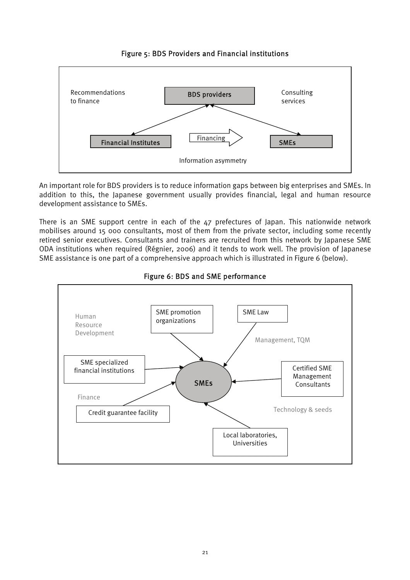

#### Figure 5: BDS Providers and Financial institutions

An important role for BDS providers is to reduce information gaps between big enterprises and SMEs. In addition to this, the Japanese government usually provides financial, legal and human resource development assistance to SMEs.

There is an SME support centre in each of the 47 prefectures of Japan. This nationwide network mobilises around 15 000 consultants, most of them from the private sector, including some recently retired senior executives. Consultants and trainers are recruited from this network by Japanese SME ODA institutions when required (Régnier, 2006) and it tends to work well. The provision of Japanese SME assistance is one part of a comprehensive approach which is illustrated in Figure 6 (below).



#### Figure 6: BDS and SME performance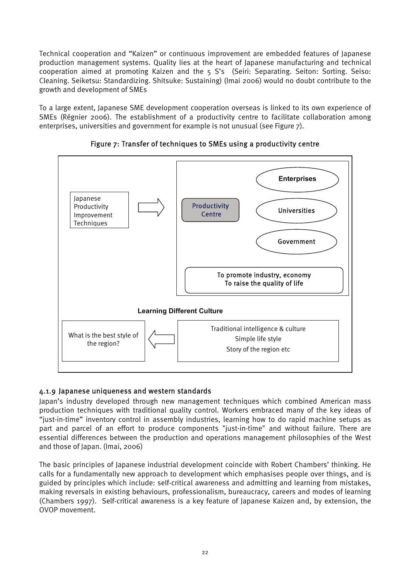Technical cooperation and "Kaizen" or continuous improvement are embedded features of Japanese production management systems. Quality lies at the heart of Japanese manufacturing and technical cooperation aimed at promoting Kaizen and the 5 S's (Seiri: Separating. Seiton: Sorting. Seiso: Cleaning. Seiketsu: Standardizing. Shitsuke: Sustaining) (Imai 2006) would no doubt contribute to the growth and development of SMEs

To a large extent, Japanese SME development cooperation overseas is linked to its own experience of SMEs (Régnier 2006). The establishment of a productivity centre to facilitate collaboration among enterprises, universities and government for example is not unusual (see Figure 7).





#### 4.1.9 Japanese uniqueness and western standards

Japan's industry developed through new management techniques which combined American mass production techniques with traditional quality control. Workers embraced many of the key ideas of "just-in-time" inventory control in assembly industries, learning how to do rapid machine setups as part and parcel of an effort to produce components "just-in-time" and without failure. There are essential differences between the production and operations management philosophies of the West and those of Japan. (Imai, 2006)

The basic principles of Japanese industrial development coincide with Robert Chambers' thinking. He calls for a fundamentally new approach to development which emphasises people over things, and is guided by principles which include: self-critical awareness and admitting and learning from mistakes, making reversals in existing behaviours, professionalism, bureaucracy, careers and modes of learning (Chambers 1997). Self-critical awareness is a key feature of Japanese Kaizen and, by extension, the OVOP movement.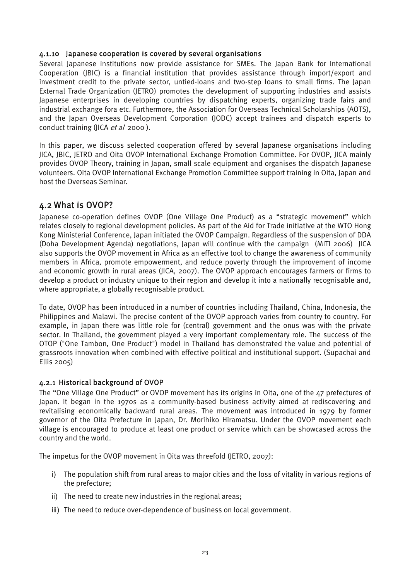#### 4.1.10 Japanese cooperation is covered by several organisations

Several Japanese institutions now provide assistance for SMEs. The Japan Bank for International Cooperation (JBIC) is a financial institution that provides assistance through import/export and investment credit to the private sector, untied-loans and two-step loans to small firms. The Japan External Trade Organization (JETRO) promotes the development of supporting industries and assists Japanese enterprises in developing countries by dispatching experts, organizing trade fairs and industrial exchange fora etc. Furthermore, the Association for Overseas Technical Scholarships (AOTS), and the Japan Overseas Development Corporation (JODC) accept trainees and dispatch experts to conduct training (JICA *et al* 2000).

In this paper, we discuss selected cooperation offered by several Japanese organisations including JICA, JBIC, JETRO and Oita OVOP International Exchange Promotion Committee. For OVOP, JICA mainly provides OVOP Theory, training in Japan, small scale equipment and organises the dispatch Japanese volunteers. Oita OVOP International Exchange Promotion Committee support training in Oita, Japan and host the Overseas Seminar.

#### 4.2 What is OVOP?

Japanese co-operation defines OVOP (One Village One Product) as a "strategic movement" which relates closely to regional development policies. As part of the Aid for Trade initiative at the WTO Hong Kong Ministerial Conference, Japan initiated the OVOP Campaign. Regardless of the suspension of DDA (Doha Development Agenda) negotiations, Japan will continue with the campaign (MITI 2006) JICA also supports the OVOP movement in Africa as an effective tool to change the awareness of community members in Africa, promote empowerment, and reduce poverty through the improvement of income and economic growth in rural areas (JICA, 2007). The OVOP approach encourages farmers or firms to develop a product or industry unique to their region and develop it into a nationally recognisable and, where appropriate, a globally recognisable product.

To date, OVOP has been introduced in a number of countries including Thailand, China, Indonesia, the Philippines and Malawi. The precise content of the OVOP approach varies from country to country. For example, in Japan there was little role for (central) government and the onus was with the private sector. In Thailand, the government played a very important complementary role. The success of the OTOP ("One Tambon, One Product") model in Thailand has demonstrated the value and potential of grassroots innovation when combined with effective political and institutional support. (Supachai and Ellis 2005)

#### 4.2.1 Historical background of OVOP

The "One Village One Product" or OVOP movement has its origins in Oita, one of the 47 prefectures of Japan. It began in the 1970s as a community-based business activity aimed at rediscovering and revitalising economically backward rural areas. The movement was introduced in 1979 by former governor of the Oita Prefecture in Japan, Dr. Morihiko Hiramatsu. Under the OVOP movement each village is encouraged to produce at least one product or service which can be showcased across the country and the world.

The impetus for the OVOP movement in Oita was threefold (JETRO, 2007):

- i) The population shift from rural areas to major cities and the loss of vitality in various regions of the prefecture;
- ii) The need to create new industries in the regional areas;
- iii) The need to reduce over-dependence of business on local government.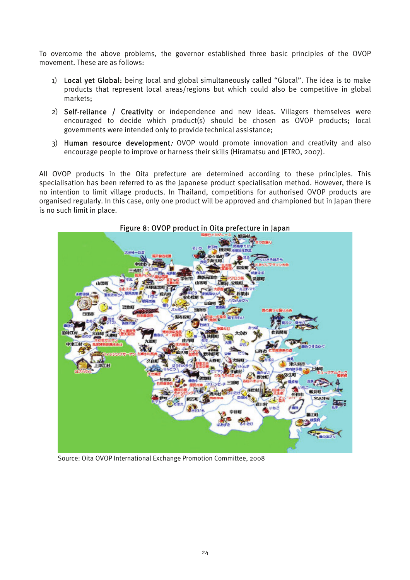To overcome the above problems, the governor established three basic principles of the OVOP movement. These are as follows:

- 1) Local yet Global: being local and global simultaneously called "Glocal". The idea is to make products that represent local areas/regions but which could also be competitive in global markets;
- 2) Self-reliance / Creativity or independence and new ideas. Villagers themselves were encouraged to decide which product(s) should be chosen as OVOP products; local governments were intended only to provide technical assistance;
- 3) Human resource development: OVOP would promote innovation and creativity and also encourage people to improve or harness their skills (Hiramatsu and JETRO, 2007).

All OVOP products in the Oita prefecture are determined according to these principles. This specialisation has been referred to as the Japanese product specialisation method. However, there is no intention to limit village products. In Thailand, competitions for authorised OVOP products are organised regularly. In this case, only one product will be approved and championed but in Japan there is no such limit in place.



Figure 8: OVOP product in Oita prefecture in Japan

Source: Oita OVOP International Exchange Promotion Committee, 2008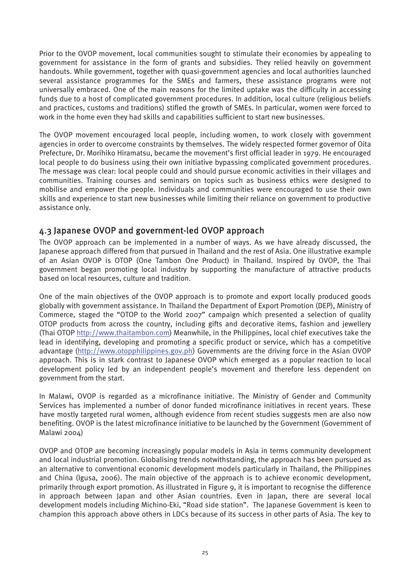Prior to the OVOP movement, local communities sought to stimulate their economies by appealing to government for assistance in the form of grants and subsidies. They relied heavily on government handouts. While government, together with quasi-government agencies and local authorities launched several assistance programmes for the SMEs and farmers, these assistance programs were not universally embraced. One of the main reasons for the limited uptake was the difficulty in accessing funds due to a host of complicated government procedures. In addition, local culture (religious beliefs and practices, customs and traditions) stifled the growth of SMEs. In particular, women were forced to work in the home even they had skills and capabilities sufficient to start new businesses.

The OVOP movement encouraged local people, including women, to work closely with government agencies in order to overcome constraints by themselves. The widely respected former governor of Oita Prefecture, Dr. Morihiko Hiramatsu, became the movement's first official leader in 1979. He encouraged local people to do business using their own initiative bypassing complicated government procedures. The message was clear: local people could and should pursue economic activities in their villages and communities. Training courses and seminars on topics such as business ethics were designed to mobilise and empower the people. Individuals and communities were encouraged to use their own skills and experience to start new businesses while limiting their reliance on government to productive assistance only.

#### 4.3 Japanese OVOP and government-led OVOP approach

The OVOP approach can be implemented in a number of ways. As we have already discussed, the Japanese approach differed from that pursued in Thailand and the rest of Asia. One illustrative example of an Asian OVOP is OTOP (One Tambon One Product) in Thailand. Inspired by OVOP, the Thai government began promoting local industry by supporting the manufacture of attractive products based on local resources, culture and tradition.

One of the main objectives of the OVOP approach is to promote and export locally produced goods globally with government assistance. In Thailand the Department of Export Promotion (DEP), Ministry of Commerce, staged the "OTOP to the World 2007" campaign which presented a selection of quality OTOP products from across the country, including gifts and decorative items, fashion and jewellery (Thai OTOP http://www.thaitambon.com) Meanwhile, in the Philippines, local chief executives take the lead in identifying, developing and promoting a specific product or service, which has a competitive advantage (http://www.otopphilippines.gov.ph) Governments are the driving force in the Asian OVOP approach. This is in stark contrast to Japanese OVOP which emerged as a popular reaction to local development policy led by an independent people's movement and therefore less dependent on government from the start.

In Malawi, OVOP is regarded as a microfinance initiative. The Ministry of Gender and Community Services has implemented a number of donor funded microfinance initiatives in recent years. These have mostly targeted rural women, although evidence from recent studies suggests men are also now benefiting. OVOP is the latest microfinance initiative to be launched by the Government (Government of Malawi 2004)

OVOP and OTOP are becoming increasingly popular models in Asia in terms community development and local industrial promotion. Globalising trends notwithstanding, the approach has been pursued as an alternative to conventional economic development models particularly in Thailand, the Philippines and China (Igusa, 2006). The main objective of the approach is to achieve economic development, primarily through export promotion. As illustrated in Figure 9, it is important to recognise the difference in approach between Japan and other Asian countries. Even in Japan, there are several local development models including Michino-Eki, "Road side station". The Japanese Government is keen to champion this approach above others in LDCs because of its success in other parts of Asia. The key to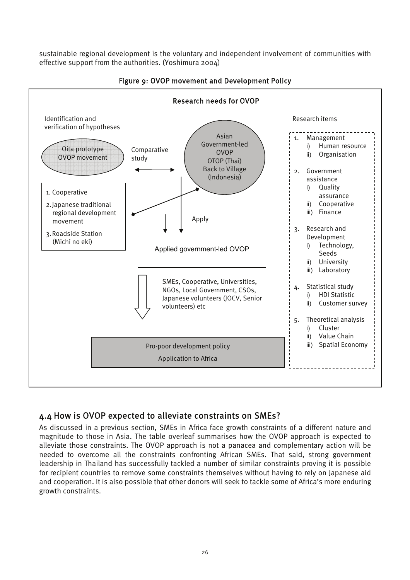sustainable regional development is the voluntary and independent involvement of communities with effective support from the authorities. (Yoshimura 2004)



#### Figure 9: OVOP movement and Development Policy

#### 4.4 How is OVOP expected to alleviate constraints on SMEs?

As discussed in a previous section, SMEs in Africa face growth constraints of a different nature and magnitude to those in Asia. The table overleaf summarises how the OVOP approach is expected to alleviate those constraints. The OVOP approach is not a panacea and complementary action will be needed to overcome all the constraints confronting African SMEs. That said, strong government leadership in Thailand has successfully tackled a number of similar constraints proving it is possible for recipient countries to remove some constraints themselves without having to rely on Japanese aid and cooperation. It is also possible that other donors will seek to tackle some of Africa's more enduring growth constraints.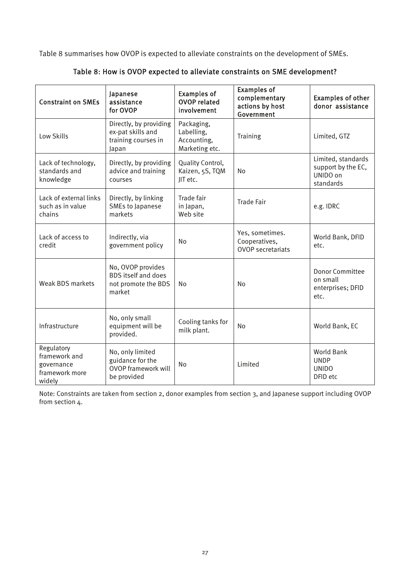Table 8 summarises how OVOP is expected to alleviate constraints on the development of SMEs.

| <b>Constraint on SMEs</b>                                             | Japanese<br>assistance<br>for OVOP                                                | <b>Examples of</b><br><b>OVOP related</b><br>involvement  | <b>Examples of</b><br>complementary<br>actions by host<br>Government | <b>Examples of other</b><br>donor assistance                      |
|-----------------------------------------------------------------------|-----------------------------------------------------------------------------------|-----------------------------------------------------------|----------------------------------------------------------------------|-------------------------------------------------------------------|
| Low Skills                                                            | Directly, by providing<br>ex-pat skills and<br>training courses in<br>Japan       | Packaging,<br>Labelling,<br>Accounting,<br>Marketing etc. | Training                                                             | Limited, GTZ                                                      |
| Lack of technology,<br>standards and<br>knowledge                     | Directly, by providing<br>advice and training<br>courses                          | Quality Control,<br>Kaizen, 5S, TQM<br>JIT etc.           | No                                                                   | Limited, standards<br>support by the EC,<br>UNIDO on<br>standards |
| Lack of external links<br>such as in value<br>chains                  | Directly, by linking<br>SMEs to Japanese<br>markets                               | Trade fair<br>in Japan,<br>Web site                       | <b>Trade Fair</b>                                                    | e.g. IDRC                                                         |
| Lack of access to<br>credit                                           | Indirectly, via<br>government policy                                              | <b>No</b>                                                 | Yes, sometimes.<br>Cooperatives,<br><b>OVOP</b> secretariats         | World Bank, DFID<br>etc.                                          |
| <b>Weak BDS markets</b>                                               | No, OVOP provides<br><b>BDS</b> itself and does<br>not promote the BDS<br>market  | No                                                        | No                                                                   | <b>Donor Committee</b><br>on small<br>enterprises; DFID<br>etc.   |
| Infrastructure                                                        | No, only small<br>equipment will be<br>provided.                                  | Cooling tanks for<br>milk plant.                          | No                                                                   | World Bank, EC                                                    |
| Regulatory<br>framework and<br>governance<br>framework more<br>widely | No, only limited<br>guidance for the<br><b>OVOP framework will</b><br>be provided | No                                                        | Limited                                                              | <b>World Bank</b><br><b>UNDP</b><br><b>UNIDO</b><br>DFID etc      |

Table 8: How is OVOP expected to alleviate constraints on SME development?

Note: Constraints are taken from section 2, donor examples from section 3, and Japanese support including OVOP from section 4.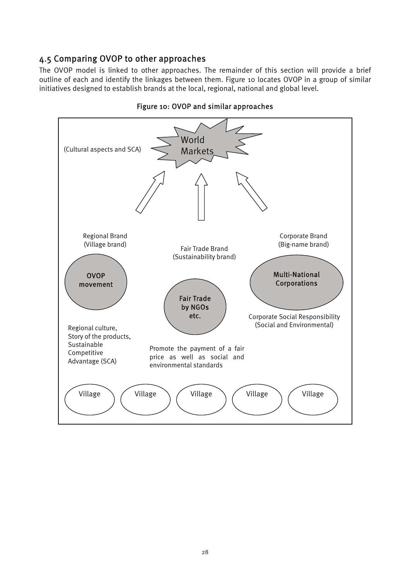#### 4.5 Comparing OVOP to other approaches

The OVOP model is linked to other approaches. The remainder of this section will provide a brief outline of each and identify the linkages between them. Figure 10 locates OVOP in a group of similar initiatives designed to establish brands at the local, regional, national and global level.



Figure 10: OVOP and similar approaches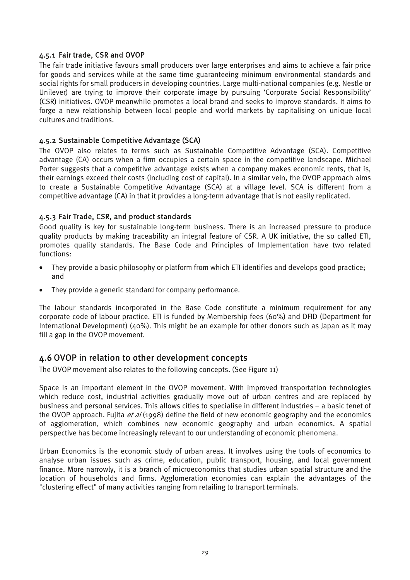#### 4.5.1 Fair trade, CSR and OVOP

The fair trade initiative favours small producers over large enterprises and aims to achieve a fair price for goods and services while at the same time guaranteeing minimum environmental standards and social rights for small producers in developing countries. Large multi-national companies (e.g. Nestle or Unilever) are trying to improve their corporate image by pursuing 'Corporate Social Responsibility' (CSR) initiatives. OVOP meanwhile promotes a local brand and seeks to improve standards. It aims to forge a new relationship between local people and world markets by capitalising on unique local cultures and traditions.

#### 4.5.2 Sustainable Competitive Advantage (SCA)

The OVOP also relates to terms such as Sustainable Competitive Advantage (SCA). Competitive advantage (CA) occurs when a firm occupies a certain space in the competitive landscape. Michael Porter suggests that a competitive advantage exists when a company makes economic rents, that is, their earnings exceed their costs (including cost of capital). In a similar vein, the OVOP approach aims to create a Sustainable Competitive Advantage (SCA) at a village level. SCA is different from a competitive advantage (CA) in that it provides a long-term advantage that is not easily replicated.

#### 4.5.3 Fair Trade, CSR, and product standards

Good quality is key for sustainable long-term business. There is an increased pressure to produce quality products by making traceability an integral feature of CSR. A UK initiative, the so called ETI, promotes quality standards. The Base Code and Principles of Implementation have two related functions:

- They provide a basic philosophy or platform from which ETI identifies and develops good practice; and
- They provide a generic standard for company performance.

The labour standards incorporated in the Base Code constitute a minimum requirement for any corporate code of labour practice. ETI is funded by Membership fees (60%) and DFID (Department for International Development) (40%). This might be an example for other donors such as Japan as it may fill a gap in the OVOP movement.

#### 4.6 OVOP in relation to other development concepts

The OVOP movement also relates to the following concepts. (See Figure 11)

Space is an important element in the OVOP movement. With improved transportation technologies which reduce cost, industrial activities gradually move out of urban centres and are replaced by business and personal services. This allows cities to specialise in different industries – a basic tenet of the OVOP approach. Fujita *et al* (1998) define the field of new economic geography and the economics of agglomeration, which combines new economic geography and urban economics. A spatial perspective has become increasingly relevant to our understanding of economic phenomena.

Urban Economics is the economic study of urban areas. It involves using the tools of economics to analyse urban issues such as crime, education, public transport, housing, and local government finance. More narrowly, it is a branch of microeconomics that studies urban spatial structure and the location of households and firms. Agglomeration economies can explain the advantages of the "clustering effect" of many activities ranging from retailing to transport terminals.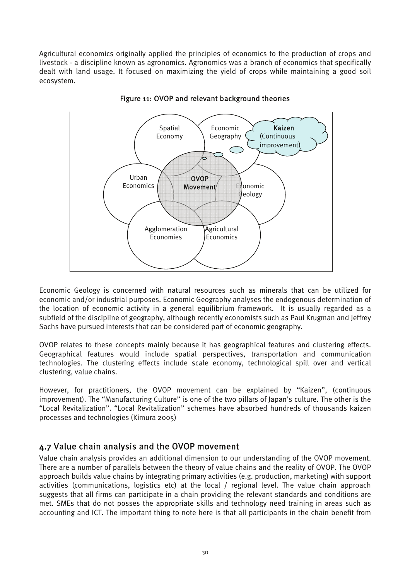Agricultural economics originally applied the principles of economics to the production of crops and livestock - a discipline known as agronomics. Agronomics was a branch of economics that specifically dealt with land usage. It focused on maximizing the yield of crops while maintaining a good soil ecosystem.



Figure 11: OVOP and relevant background theories

Economic Geology is concerned with natural resources such as minerals that can be utilized for economic and/or industrial purposes. Economic Geography analyses the endogenous determination of the location of economic activity in a general equilibrium framework. It is usually regarded as a subfield of the discipline of geography, although recently economists such as Paul Krugman and Jeffrey Sachs have pursued interests that can be considered part of economic geography.

OVOP relates to these concepts mainly because it has geographical features and clustering effects. Geographical features would include spatial perspectives, transportation and communication technologies. The clustering effects include scale economy, technological spill over and vertical clustering, value chains.

However, for practitioners, the OVOP movement can be explained by "Kaizen", (continuous improvement). The "Manufacturing Culture" is one of the two pillars of Japan's culture. The other is the "Local Revitalization". "Local Revitalization" schemes have absorbed hundreds of thousands kaizen processes and technologies (Kimura 2005)

#### 4.7 Value chain analysis and the OVOP movement

Value chain analysis provides an additional dimension to our understanding of the OVOP movement. There are a number of parallels between the theory of value chains and the reality of OVOP. The OVOP approach builds value chains by integrating primary activities (e.g. production, marketing) with support activities (communications, logistics etc) at the local / regional level. The value chain approach suggests that all firms can participate in a chain providing the relevant standards and conditions are met. SMEs that do not posses the appropriate skills and technology need training in areas such as accounting and ICT. The important thing to note here is that all participants in the chain benefit from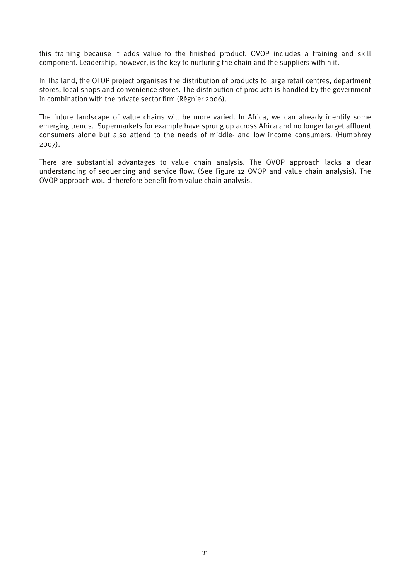this training because it adds value to the finished product. OVOP includes a training and skill component. Leadership, however, is the key to nurturing the chain and the suppliers within it.

In Thailand, the OTOP project organises the distribution of products to large retail centres, department stores, local shops and convenience stores. The distribution of products is handled by the government in combination with the private sector firm (Régnier 2006).

The future landscape of value chains will be more varied. In Africa, we can already identify some emerging trends. Supermarkets for example have sprung up across Africa and no longer target affluent consumers alone but also attend to the needs of middle- and low income consumers. (Humphrey 2007).

There are substantial advantages to value chain analysis. The OVOP approach lacks a clear understanding of sequencing and service flow. (See Figure 12 OVOP and value chain analysis). The OVOP approach would therefore benefit from value chain analysis.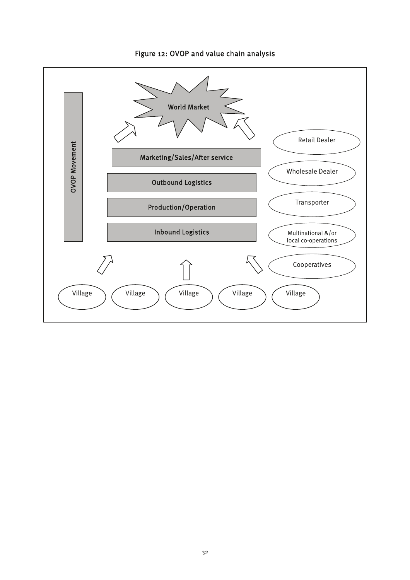

#### Figure 12: OVOP and value chain analysis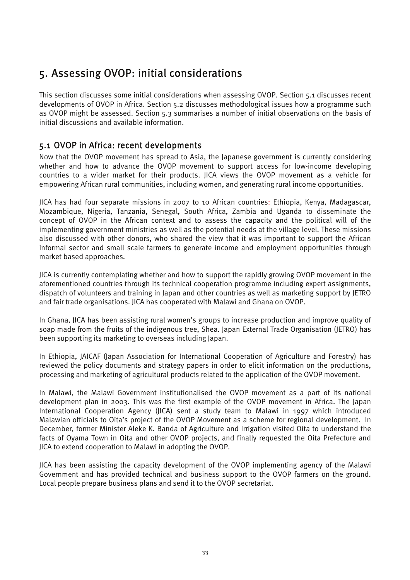## 5. Assessing OVOP: initial considerations

This section discusses some initial considerations when assessing OVOP. Section 5.1 discusses recent developments of OVOP in Africa. Section 5.2 discusses methodological issues how a programme such as OVOP might be assessed. Section 5.3 summarises a number of initial observations on the basis of initial discussions and available information.

#### 5.1 OVOP in Africa: recent developments

Now that the OVOP movement has spread to Asia, the Japanese government is currently considering whether and how to advance the OVOP movement to support access for low-income developing countries to a wider market for their products. JICA views the OVOP movement as a vehicle for empowering African rural communities, including women, and generating rural income opportunities.

JICA has had four separate missions in 2007 to 10 African countries: Ethiopia, Kenya, Madagascar, Mozambique, Nigeria, Tanzania, Senegal, South Africa, Zambia and Uganda to disseminate the concept of OVOP in the African context and to assess the capacity and the political will of the implementing government ministries as well as the potential needs at the village level. These missions also discussed with other donors, who shared the view that it was important to support the African informal sector and small scale farmers to generate income and employment opportunities through market based approaches.

JICA is currently contemplating whether and how to support the rapidly growing OVOP movement in the aforementioned countries through its technical cooperation programme including expert assignments, dispatch of volunteers and training in Japan and other countries as well as marketing support by JETRO and fair trade organisations. JICA has cooperated with Malawi and Ghana on OVOP.

In Ghana, JICA has been assisting rural women's groups to increase production and improve quality of soap made from the fruits of the indigenous tree, Shea. Japan External Trade Organisation (JETRO) has been supporting its marketing to overseas including Japan.

In Ethiopia, JAICAF (Japan Association for International Cooperation of Agriculture and Forestry) has reviewed the policy documents and strategy papers in order to elicit information on the productions, processing and marketing of agricultural products related to the application of the OVOP movement.

In Malawi, the Malawi Government institutionalised the OVOP movement as a part of its national development plan in 2003. This was the first example of the OVOP movement in Africa. The Japan International Cooperation Agency (JICA) sent a study team to Malawi in 1997 which introduced Malawian officials to Oita's project of the OVOP Movement as a scheme for regional development. In December, former Minister Aleke K. Banda of Agriculture and Irrigation visited Oita to understand the facts of Oyama Town in Oita and other OVOP projects, and finally requested the Oita Prefecture and JICA to extend cooperation to Malawi in adopting the OVOP.

JICA has been assisting the capacity development of the OVOP implementing agency of the Malawi Government and has provided technical and business support to the OVOP farmers on the ground. Local people prepare business plans and send it to the OVOP secretariat.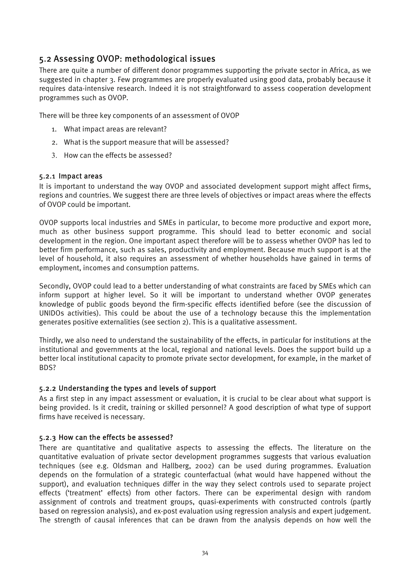#### 5.2 Assessing OVOP: methodological issues

There are quite a number of different donor programmes supporting the private sector in Africa, as we suggested in chapter 3. Few programmes are properly evaluated using good data, probably because it requires data-intensive research. Indeed it is not straightforward to assess cooperation development programmes such as OVOP.

There will be three key components of an assessment of OVOP

- 1. What impact areas are relevant?
- 2. What is the support measure that will be assessed?
- 3. How can the effects be assessed?

#### 5.2.1 Impact areas

It is important to understand the way OVOP and associated development support might affect firms, regions and countries. We suggest there are three levels of objectives or impact areas where the effects of OVOP could be important.

OVOP supports local industries and SMEs in particular, to become more productive and export more, much as other business support programme. This should lead to better economic and social development in the region. One important aspect therefore will be to assess whether OVOP has led to better firm performance, such as sales, productivity and employment. Because much support is at the level of household, it also requires an assessment of whether households have gained in terms of employment, incomes and consumption patterns.

Secondly, OVOP could lead to a better understanding of what constraints are faced by SMEs which can inform support at higher level. So it will be important to understand whether OVOP generates knowledge of public goods beyond the firm-specific effects identified before (see the discussion of UNIDOs activities). This could be about the use of a technology because this the implementation generates positive externalities (see section 2). This is a qualitative assessment.

Thirdly, we also need to understand the sustainability of the effects, in particular for institutions at the institutional and governments at the local, regional and national levels. Does the support build up a better local institutional capacity to promote private sector development, for example, in the market of BDS?

#### 5.2.2 Understanding the types and levels of support

As a first step in any impact assessment or evaluation, it is crucial to be clear about what support is being provided. Is it credit, training or skilled personnel? A good description of what type of support firms have received is necessary.

#### 5.2.3 How can the effects be assessed?

There are quantitative and qualitative aspects to assessing the effects. The literature on the quantitative evaluation of private sector development programmes suggests that various evaluation techniques (see e.g. Oldsman and Hallberg, 2002) can be used during programmes. Evaluation depends on the formulation of a strategic counterfactual (what would have happened without the support), and evaluation techniques differ in the way they select controls used to separate project effects ('treatment' effects) from other factors. There can be experimental design with random assignment of controls and treatment groups, quasi-experiments with constructed controls (partly based on regression analysis), and ex-post evaluation using regression analysis and expert judgement. The strength of causal inferences that can be drawn from the analysis depends on how well the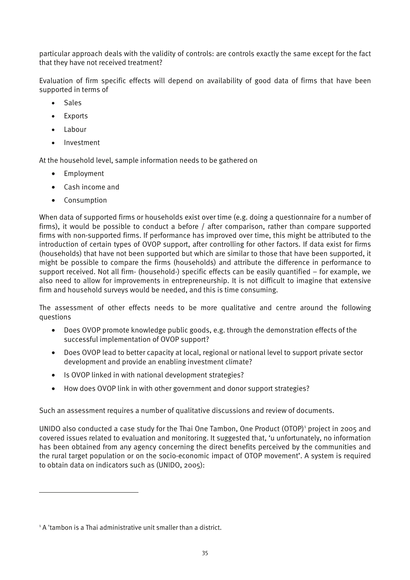particular approach deals with the validity of controls: are controls exactly the same except for the fact that they have not received treatment?

Evaluation of firm specific effects will depend on availability of good data of firms that have been supported in terms of

- Sales
- **Exports**
- Labour
- Investment

At the household level, sample information needs to be gathered on

- Employment
- Cash income and
- Consumption

When data of supported firms or households exist over time (e.g. doing a questionnaire for a number of firms), it would be possible to conduct a before / after comparison, rather than compare supported firms with non-supported firms. If performance has improved over time, this might be attributed to the introduction of certain types of OVOP support, after controlling for other factors. If data exist for firms (households) that have not been supported but which are similar to those that have been supported, it might be possible to compare the firms (households) and attribute the difference in performance to support received. Not all firm- (household-) specific effects can be easily quantified – for example, we also need to allow for improvements in entrepreneurship. It is not difficult to imagine that extensive firm and household surveys would be needed, and this is time consuming.

The assessment of other effects needs to be more qualitative and centre around the following questions

- Does OVOP promote knowledge public goods, e.g. through the demonstration effects of the successful implementation of OVOP support?
- Does OVOP lead to better capacity at local, regional or national level to support private sector development and provide an enabling investment climate?
- Is OVOP linked in with national development strategies?
- How does OVOP link in with other government and donor support strategies?

Such an assessment requires a number of qualitative discussions and review of documents.

UNIDO also conducted a case study for the Thai One Tambon, One Product (OTOP)<sup>1</sup> project in 2005 and covered issues related to evaluation and monitoring. It suggested that, 'u unfortunately, no information has been obtained from any agency concerning the direct benefits perceived by the communities and the rural target population or on the socio-economic impact of OTOP movement'. A system is required to obtain data on indicators such as (UNIDO, 2005):

1

<sup>&</sup>lt;sup>1</sup> A 'tambon is a Thai administrative unit smaller than a district.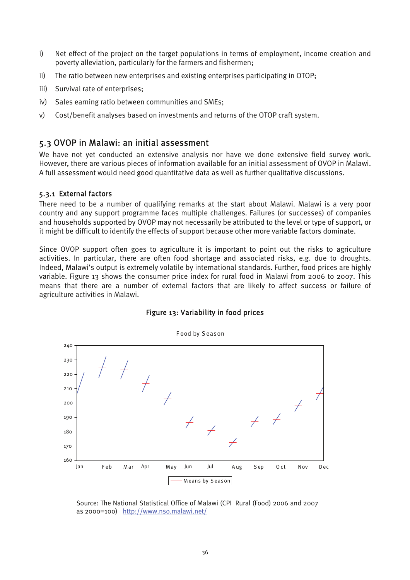- i) Net effect of the project on the target populations in terms of employment, income creation and poverty alleviation, particularly for the farmers and fishermen;
- ii) The ratio between new enterprises and existing enterprises participating in OTOP;
- iii) Survival rate of enterprises;
- iv) Sales earning ratio between communities and SMEs;
- v) Cost/benefit analyses based on investments and returns of the OTOP craft system.

#### 5.3 OVOP in Malawi: an initial assessment

We have not yet conducted an extensive analysis nor have we done extensive field survey work. However, there are various pieces of information available for an initial assessment of OVOP in Malawi. A full assessment would need good quantitative data as well as further qualitative discussions.

#### 5.3.1 External factors

There need to be a number of qualifying remarks at the start about Malawi. Malawi is a very poor country and any support programme faces multiple challenges. Failures (or successes) of companies and households supported by OVOP may not necessarily be attributed to the level or type of support, or it might be difficult to identify the effects of support because other more variable factors dominate.

Since OVOP support often goes to agriculture it is important to point out the risks to agriculture activities. In particular, there are often food shortage and associated risks, e.g. due to droughts. Indeed, Malawi's output is extremely volatile by international standards. Further, food prices are highly variable. Figure 13 shows the consumer price index for rural food in Malawi from 2006 to 2007. This means that there are a number of external factors that are likely to affect success or failure of agriculture activities in Malawi.



#### Figure 13: Variability in food prices

Source: The National Statistical Office of Malawi (CPI Rural (Food) 2006 and 2007 as 2000=100) http://www.nso.malawi.net/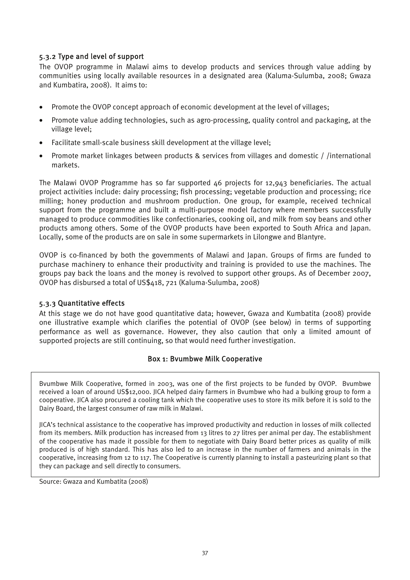#### 5.3.2 Type and level of support

The OVOP programme in Malawi aims to develop products and services through value adding by communities using locally available resources in a designated area (Kaluma-Sulumba, 2008; Gwaza and Kumbatira, 2008). It aims to:

- Promote the OVOP concept approach of economic development at the level of villages;
- Promote value adding technologies, such as agro-processing, quality control and packaging, at the village level;
- Facilitate small-scale business skill development at the village level;
- Promote market linkages between products & services from villages and domestic / /international markets.

The Malawi OVOP Programme has so far supported 46 projects for 12,943 beneficiaries. The actual project activities include: dairy processing; fish processing; vegetable production and processing; rice milling; honey production and mushroom production. One group, for example, received technical support from the programme and built a multi-purpose model factory where members successfully managed to produce commodities like confectionaries, cooking oil, and milk from soy beans and other products among others. Some of the OVOP products have been exported to South Africa and Japan. Locally, some of the products are on sale in some supermarkets in Lilongwe and Blantyre.

OVOP is co-financed by both the governments of Malawi and Japan. Groups of firms are funded to purchase machinery to enhance their productivity and training is provided to use the machines. The groups pay back the loans and the money is revolved to support other groups. As of December 2007, OVOP has disbursed a total of US\$418, 721 (Kaluma-Sulumba, 2008)

#### 5.3.3 Quantitative effects

At this stage we do not have good quantitative data; however, Gwaza and Kumbatita (2008) provide one illustrative example which clarifies the potential of OVOP (see below) in terms of supporting performance as well as governance. However, they also caution that only a limited amount of supported projects are still continuing, so that would need further investigation.

#### Box 1: Bvumbwe Milk Cooperative

Bvumbwe Milk Cooperative, formed in 2003, was one of the first projects to be funded by OVOP. Bvumbwe received a loan of around US\$12,000. JICA helped dairy farmers in Bvumbwe who had a bulking group to form a cooperative. JICA also procured a cooling tank which the cooperative uses to store its milk before it is sold to the Dairy Board, the largest consumer of raw milk in Malawi.

JICA's technical assistance to the cooperative has improved productivity and reduction in losses of milk collected from its members. Milk production has increased from 13 litres to 27 litres per animal per day. The establishment of the cooperative has made it possible for them to negotiate with Dairy Board better prices as quality of milk produced is of high standard. This has also led to an increase in the number of farmers and animals in the cooperative, increasing from 12 to 117. The Cooperative is currently planning to install a pasteurizing plant so that they can package and sell directly to consumers.

Source: Gwaza and Kumbatita (2008)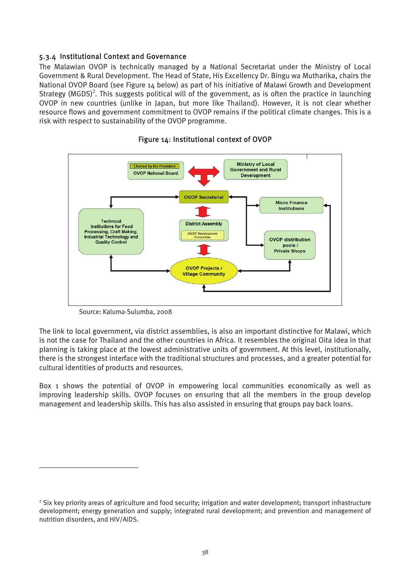#### 5.3.4 Institutional Context and Governance

The Malawian OVOP is technically managed by a National Secretariat under the Ministry of Local Government & Rural Development. The Head of State, His Excellency Dr. Bingu wa Mutharika, chairs the National OVOP Board (see Figure 14 below) as part of his initiative of Malawi Growth and Development Strategy (MGDS)<sup>2</sup>. This suggests political will of the government, as is often the practice in launching OVOP in new countries (unlike in Japan, but more like Thailand). However, it is not clear whether resource flows and government commitment to OVOP remains if the political climate changes. This is a risk with respect to sustainability of the OVOP programme.



#### Figure 14: Institutional context of OVOP

Source: Kaluma-Sulumba, 2008

 $\overline{a}$ 

The link to local government, via district assemblies, is also an important distinctive for Malawi, which is not the case for Thailand and the other countries in Africa. It resembles the original Oita idea in that planning is taking place at the lowest administrative units of government. At this level, institutionally, there is the strongest interface with the traditional structures and processes, and a greater potential for cultural identities of products and resources.

Box 1 shows the potential of OVOP in empowering local communities economically as well as improving leadership skills. OVOP focuses on ensuring that all the members in the group develop management and leadership skills. This has also assisted in ensuring that groups pay back loans.

<sup>&</sup>lt;sup>2</sup> Six key priority areas of agriculture and food security; irrigation and water development; transport infrastructure development; energy generation and supply; integrated rural development; and prevention and management of nutrition disorders, and HIV/AIDS.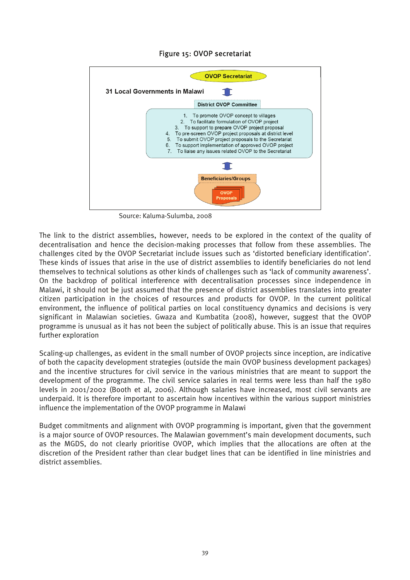#### Figure 15: OVOP secretariat



Source: Kaluma-Sulumba, 2008

The link to the district assemblies, however, needs to be explored in the context of the quality of decentralisation and hence the decision-making processes that follow from these assemblies. The challenges cited by the OVOP Secretariat include issues such as 'distorted beneficiary identification'. These kinds of issues that arise in the use of district assemblies to identify beneficiaries do not lend themselves to technical solutions as other kinds of challenges such as 'lack of community awareness'. On the backdrop of political interference with decentralisation processes since independence in Malawi, it should not be just assumed that the presence of district assemblies translates into greater citizen participation in the choices of resources and products for OVOP. In the current political environment, the influence of political parties on local constituency dynamics and decisions is very significant in Malawian societies. Gwaza and Kumbatita (2008), however, suggest that the OVOP programme is unusual as it has not been the subject of politically abuse. This is an issue that requires further exploration

Scaling-up challenges, as evident in the small number of OVOP projects since inception, are indicative of both the capacity development strategies (outside the main OVOP business development packages) and the incentive structures for civil service in the various ministries that are meant to support the development of the programme. The civil service salaries in real terms were less than half the 1980 levels in 2001/2002 (Booth et al, 2006). Although salaries have increased, most civil servants are underpaid. It is therefore important to ascertain how incentives within the various support ministries influence the implementation of the OVOP programme in Malawi

Budget commitments and alignment with OVOP programming is important, given that the government is a major source of OVOP resources. The Malawian government's main development documents, such as the MGDS, do not clearly prioritise OVOP, which implies that the allocations are often at the discretion of the President rather than clear budget lines that can be identified in line ministries and district assemblies.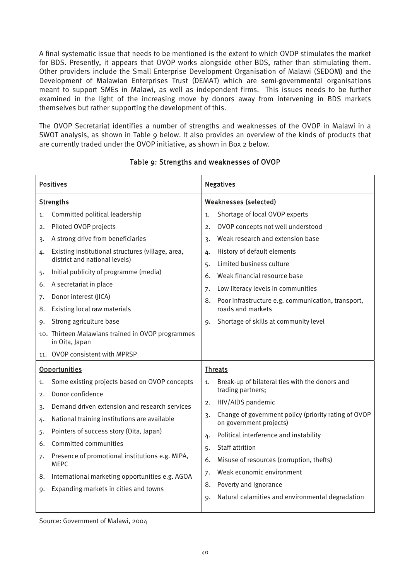A final systematic issue that needs to be mentioned is the extent to which OVOP stimulates the market for BDS. Presently, it appears that OVOP works alongside other BDS, rather than stimulating them. Other providers include the Small Enterprise Development Organisation of Malawi (SEDOM) and the Development of Malawian Enterprises Trust (DEMAT) which are semi-governmental organisations meant to support SMEs in Malawi, as well as independent firms. This issues needs to be further examined in the light of the increasing move by donors away from intervening in BDS markets themselves but rather supporting the development of this.

The OVOP Secretariat identifies a number of strengths and weaknesses of the OVOP in Malawi in a SWOT analysis, as shown in Table 9 below. It also provides an overview of the kinds of products that are currently traded under the OVOP initiative, as shown in Box 2 below.

| <b>Positives</b>                                                                                                                                                                                                                                                                                                                                                                                                                                           | <b>Negatives</b>                                                                                                                                                                                                                                                                                                                                                                                              |  |  |
|------------------------------------------------------------------------------------------------------------------------------------------------------------------------------------------------------------------------------------------------------------------------------------------------------------------------------------------------------------------------------------------------------------------------------------------------------------|---------------------------------------------------------------------------------------------------------------------------------------------------------------------------------------------------------------------------------------------------------------------------------------------------------------------------------------------------------------------------------------------------------------|--|--|
| <b>Strengths</b>                                                                                                                                                                                                                                                                                                                                                                                                                                           | <b>Weaknesses (selected)</b>                                                                                                                                                                                                                                                                                                                                                                                  |  |  |
| Committed political leadership<br>1.                                                                                                                                                                                                                                                                                                                                                                                                                       | Shortage of local OVOP experts<br>1.                                                                                                                                                                                                                                                                                                                                                                          |  |  |
| Piloted OVOP projects<br>2.                                                                                                                                                                                                                                                                                                                                                                                                                                | OVOP concepts not well understood<br>2.                                                                                                                                                                                                                                                                                                                                                                       |  |  |
| A strong drive from beneficiaries<br>3.                                                                                                                                                                                                                                                                                                                                                                                                                    | Weak research and extension base<br>$\overline{3}$                                                                                                                                                                                                                                                                                                                                                            |  |  |
| Existing institutional structures (village, area,<br>4.<br>district and national levels)                                                                                                                                                                                                                                                                                                                                                                   | History of default elements<br>4.<br>Limited business culture<br>5.                                                                                                                                                                                                                                                                                                                                           |  |  |
| Initial publicity of programme (media)<br>5.                                                                                                                                                                                                                                                                                                                                                                                                               | Weak financial resource base<br>6.                                                                                                                                                                                                                                                                                                                                                                            |  |  |
| A secretariat in place<br>6.                                                                                                                                                                                                                                                                                                                                                                                                                               | Low literacy levels in communities<br>7.                                                                                                                                                                                                                                                                                                                                                                      |  |  |
| Donor interest (JICA)<br>7.                                                                                                                                                                                                                                                                                                                                                                                                                                | Poor infrastructure e.g. communication, transport,<br>8.                                                                                                                                                                                                                                                                                                                                                      |  |  |
| Existing local raw materials<br>8.                                                                                                                                                                                                                                                                                                                                                                                                                         | roads and markets                                                                                                                                                                                                                                                                                                                                                                                             |  |  |
| Strong agriculture base<br>9.                                                                                                                                                                                                                                                                                                                                                                                                                              | Shortage of skills at community level<br>9.                                                                                                                                                                                                                                                                                                                                                                   |  |  |
| 10. Thirteen Malawians trained in OVOP programmes<br>in Oita, Japan                                                                                                                                                                                                                                                                                                                                                                                        |                                                                                                                                                                                                                                                                                                                                                                                                               |  |  |
| OVOP consistent with MPRSP<br>11.                                                                                                                                                                                                                                                                                                                                                                                                                          |                                                                                                                                                                                                                                                                                                                                                                                                               |  |  |
| <b>Opportunities</b>                                                                                                                                                                                                                                                                                                                                                                                                                                       | <b>Threats</b>                                                                                                                                                                                                                                                                                                                                                                                                |  |  |
| Some existing projects based on OVOP concepts<br>1.<br>Donor confidence<br>2.<br>Demand driven extension and research services<br>3.<br>National training institutions are available<br>4.<br>Pointers of success story (Oita, Japan)<br>5.<br>Committed communities<br>6.<br>Presence of promotional institutions e.g. MIPA,<br>7.<br><b>MEPC</b><br>International marketing opportunities e.g. AGOA<br>8.<br>Expanding markets in cities and towns<br>9. | Break-up of bilateral ties with the donors and<br>1.<br>trading partners;<br>HIV/AIDS pandemic<br>2.<br>Change of government policy (priority rating of OVOP<br>$\overline{3}$<br>on government projects)<br>Political interference and instability<br>4.<br><b>Staff attrition</b><br>5.<br>Misuse of resources (corruption, thefts)<br>6.<br>Weak economic environment<br>7.<br>Poverty and ignorance<br>8. |  |  |
|                                                                                                                                                                                                                                                                                                                                                                                                                                                            | Natural calamities and environmental degradation<br>9.                                                                                                                                                                                                                                                                                                                                                        |  |  |

#### Table 9: Strengths and weaknesses of OVOP

Source: Government of Malawi, 2004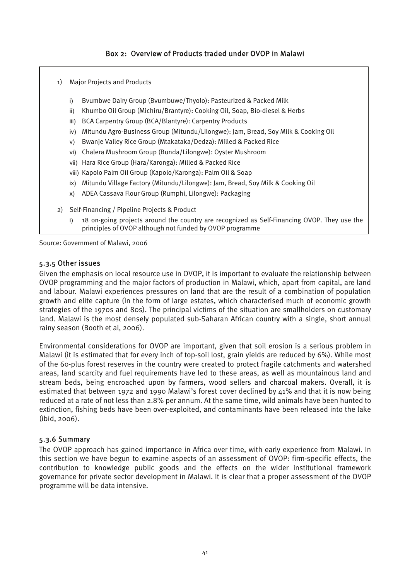#### Box 2: Overview of Products traded under OVOP in Malawi

- 1) Major Projects and Products
	- i) Bvumbwe Dairy Group (Bvumbuwe/Thyolo): Pasteurized & Packed Milk
	- ii) Khumbo Oil Group (Michiru/Brantyre): Cooking Oil, Soap, Bio-diesel & Herbs
	- iii) BCA Carpentry Group (BCA/Blantyre): Carpentry Products
	- iv) Mitundu Agro-Business Group (Mitundu/Lilongwe): Jam, Bread, Soy Milk & Cooking Oil
	- v) Bwanje Valley Rice Group (Mtakataka/Dedza): Milled & Packed Rice
	- vi) Chalera Mushroom Group (Bunda/Lilongwe): Oyster Mushroom
	- vii) Hara Rice Group (Hara/Karonga): Milled & Packed Rice
	- viii) Kapolo Palm Oil Group (Kapolo/Karonga): Palm Oil & Soap
	- ix) Mitundu Village Factory (Mitundu/Lilongwe): Jam, Bread, Soy Milk & Cooking Oil
	- x) ADEA Cassava Flour Group (Rumphi, Lilongwe): Packaging
- 2) Self-Financing / Pipeline Projects & Product
	- i) 18 on-going projects around the country are recognized as Self-Financing OVOP. They use the principles of OVOP although not funded by OVOP programme

Source: Government of Malawi, 2006

#### 5.3.5 Other issues

Given the emphasis on local resource use in OVOP, it is important to evaluate the relationship between OVOP programming and the major factors of production in Malawi, which, apart from capital, are land and labour. Malawi experiences pressures on land that are the result of a combination of population growth and elite capture (in the form of large estates, which characterised much of economic growth strategies of the 1970s and 80s). The principal victims of the situation are smallholders on customary land. Malawi is the most densely populated sub-Saharan African country with a single, short annual rainy season (Booth et al, 2006).

Environmental considerations for OVOP are important, given that soil erosion is a serious problem in Malawi (it is estimated that for every inch of top-soil lost, grain yields are reduced by 6%). While most of the 60-plus forest reserves in the country were created to protect fragile catchments and watershed areas, land scarcity and fuel requirements have led to these areas, as well as mountainous land and stream beds, being encroached upon by farmers, wood sellers and charcoal makers. Overall, it is estimated that between 1972 and 1990 Malawi's forest cover declined by 41% and that it is now being reduced at a rate of not less than 2.8% per annum. At the same time, wild animals have been hunted to extinction, fishing beds have been over-exploited, and contaminants have been released into the lake (ibid, 2006).

#### 5.3.6 Summary

The OVOP approach has gained importance in Africa over time, with early experience from Malawi. In this section we have begun to examine aspects of an assessment of OVOP: firm-specific effects, the contribution to knowledge public goods and the effects on the wider institutional framework governance for private sector development in Malawi. It is clear that a proper assessment of the OVOP programme will be data intensive.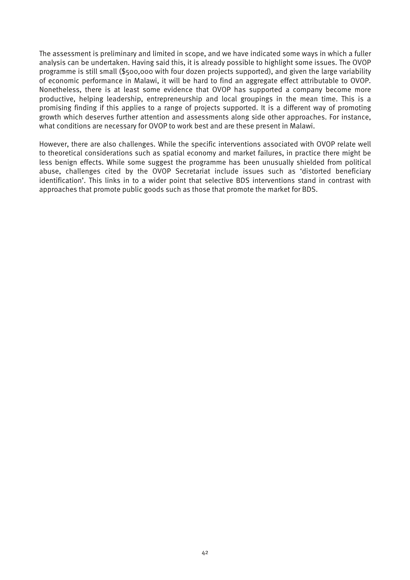The assessment is preliminary and limited in scope, and we have indicated some ways in which a fuller analysis can be undertaken. Having said this, it is already possible to highlight some issues. The OVOP programme is still small (\$500,000 with four dozen projects supported), and given the large variability of economic performance in Malawi, it will be hard to find an aggregate effect attributable to OVOP. Nonetheless, there is at least some evidence that OVOP has supported a company become more productive, helping leadership, entrepreneurship and local groupings in the mean time. This is a promising finding if this applies to a range of projects supported. It is a different way of promoting growth which deserves further attention and assessments along side other approaches. For instance, what conditions are necessary for OVOP to work best and are these present in Malawi.

However, there are also challenges. While the specific interventions associated with OVOP relate well to theoretical considerations such as spatial economy and market failures, in practice there might be less benign effects. While some suggest the programme has been unusually shielded from political abuse, challenges cited by the OVOP Secretariat include issues such as 'distorted beneficiary identification'. This links in to a wider point that selective BDS interventions stand in contrast with approaches that promote public goods such as those that promote the market for BDS.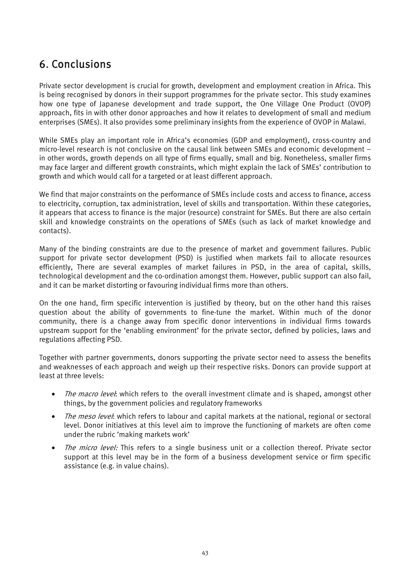## 6. Conclusions

Private sector development is crucial for growth, development and employment creation in Africa. This is being recognised by donors in their support programmes for the private sector. This study examines how one type of Japanese development and trade support, the One Village One Product (OVOP) approach, fits in with other donor approaches and how it relates to development of small and medium enterprises (SMEs). It also provides some preliminary insights from the experience of OVOP in Malawi.

While SMEs play an important role in Africa's economies (GDP and employment), cross-country and micro-level research is not conclusive on the causal link between SMEs and economic development – in other words, growth depends on all type of firms equally, small and big. Nonetheless, smaller firms may face larger and different growth constraints, which might explain the lack of SMEs' contribution to growth and which would call for a targeted or at least different approach.

We find that major constraints on the performance of SMEs include costs and access to finance, access to electricity, corruption, tax administration, level of skills and transportation. Within these categories, it appears that access to finance is the major (resource) constraint for SMEs. But there are also certain skill and knowledge constraints on the operations of SMEs (such as lack of market knowledge and contacts).

Many of the binding constraints are due to the presence of market and government failures. Public support for private sector development (PSD) is justified when markets fail to allocate resources efficiently, There are several examples of market failures in PSD, in the area of capital, skills, technological development and the co-ordination amongst them. However, public support can also fail, and it can be market distorting or favouring individual firms more than others.

On the one hand, firm specific intervention is justified by theory, but on the other hand this raises question about the ability of governments to fine-tune the market. Within much of the donor community, there is a change away from specific donor interventions in individual firms towards upstream support for the 'enabling environment' for the private sector, defined by policies, laws and regulations affecting PSD.

Together with partner governments, donors supporting the private sector need to assess the benefits and weaknesses of each approach and weigh up their respective risks. Donors can provide support at least at three levels:

- The macro level: which refers to the overall investment climate and is shaped, amongst other things, by the government policies and regulatory frameworks
- The meso level: which refers to labour and capital markets at the national, regional or sectoral level. Donor initiatives at this level aim to improve the functioning of markets are often come under the rubric 'making markets work'
- The micro level: This refers to a single business unit or a collection thereof. Private sector support at this level may be in the form of a business development service or firm specific assistance (e.g. in value chains).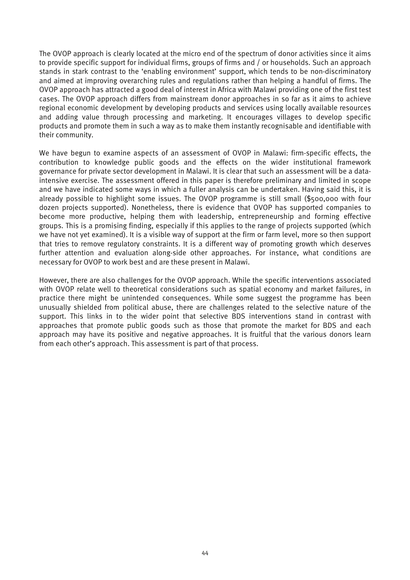The OVOP approach is clearly located at the micro end of the spectrum of donor activities since it aims to provide specific support for individual firms, groups of firms and / or households. Such an approach stands in stark contrast to the 'enabling environment' support, which tends to be non-discriminatory and aimed at improving overarching rules and regulations rather than helping a handful of firms. The OVOP approach has attracted a good deal of interest in Africa with Malawi providing one of the first test cases. The OVOP approach differs from mainstream donor approaches in so far as it aims to achieve regional economic development by developing products and services using locally available resources and adding value through processing and marketing. It encourages villages to develop specific products and promote them in such a way as to make them instantly recognisable and identifiable with their community.

We have begun to examine aspects of an assessment of OVOP in Malawi: firm-specific effects, the contribution to knowledge public goods and the effects on the wider institutional framework governance for private sector development in Malawi. It is clear that such an assessment will be a dataintensive exercise. The assessment offered in this paper is therefore preliminary and limited in scope and we have indicated some ways in which a fuller analysis can be undertaken. Having said this, it is already possible to highlight some issues. The OVOP programme is still small (\$500,000 with four dozen projects supported). Nonetheless, there is evidence that OVOP has supported companies to become more productive, helping them with leadership, entrepreneurship and forming effective groups. This is a promising finding, especially if this applies to the range of projects supported (which we have not yet examined). It is a visible way of support at the firm or farm level, more so then support that tries to remove regulatory constraints. It is a different way of promoting growth which deserves further attention and evaluation along-side other approaches. For instance, what conditions are necessary for OVOP to work best and are these present in Malawi.

However, there are also challenges for the OVOP approach. While the specific interventions associated with OVOP relate well to theoretical considerations such as spatial economy and market failures, in practice there might be unintended consequences. While some suggest the programme has been unusually shielded from political abuse, there are challenges related to the selective nature of the support. This links in to the wider point that selective BDS interventions stand in contrast with approaches that promote public goods such as those that promote the market for BDS and each approach may have its positive and negative approaches. It is fruitful that the various donors learn from each other's approach. This assessment is part of that process.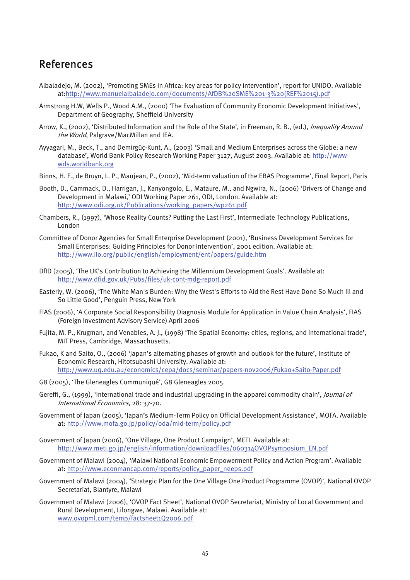### References

- Albaladejo, M. (2002), 'Promoting SMEs in Africa: key areas for policy intervention', report for UNIDO. Available at:http://www.manuelalbaladejo.com/documents/AfDB%20SME%201-3%20(REF%2015).pdf
- Armstrong H.W, Wells P., Wood A.M., (2000) 'The Evaluation of Community Economic Development Initiatives', Department of Geography, Sheffield University
- Arrow, K., (2002), 'Distributed Information and the Role of the State', in Freeman, R. B., (ed.), *Inequality Around* the World, Palgrave/MacMillan and IEA.
- Ayyagari, M., Beck, T., and Demirgüç-Kunt, A., (2003) 'Small and Medium Enterprises across the Globe: a new database', World Bank Policy Research Working Paper 3127, August 2003. Available at: http://wwwwds.worldbank.org
- Binns, H. F., de Bruyn, L. P., Maujean, P., (2002), 'Mid-term valuation of the EBAS Programme', Final Report, Paris
- Booth, D., Cammack, D., Harrigan, J., Kanyongolo, E., Mataure, M., and Ngwira, N., (2006) 'Drivers of Change and Development in Malawi,' ODI Working Paper 261, ODI, London. Available at: http://www.odi.org.uk/Publications/working\_papers/wp261.pdf
- Chambers, R., (1997), 'Whose Reality Counts? Putting the Last First', Intermediate Technology Publications, London
- Committee of Donor Agencies for Small Enterprise Development (2001), 'Business Development Services for Small Enterprises: Guiding Principles for Donor Intervention', 2001 edition. Available at: http://www.ilo.org/public/english/employment/ent/papers/guide.htm
- DfID (2005), 'The UK's Contribution to Achieving the Millennium Development Goals'. Available at: http://www.dfid.gov.uk/Pubs/files/uk-cont-mdg-report.pdf
- Easterly, W. (2006), 'The White Man's Burden: Why the West's Efforts to Aid the Rest Have Done So Much Ill and So Little Good', Penguin Press, New York
- FIAS (2006), 'A Corporate Social Responsibility Diagnosis Module for Application in Value Chain Analysis', FIAS (Foreign Investment Advisory Service) April 2006
- Fujita, M. P., Krugman, and Venables, A. J., (1998) 'The Spatial Economy: cities, regions, and international trade', MIT Press, Cambridge, Massachusetts.
- Fukao, K and Saito, O., (2006) 'Japan's alternating phases of growth and outlook for the future', Institute of Economic Research, Hitotsubashi University. Available at: http://www.uq.edu.au/economics/cepa/docs/seminar/papers-nov2006/Fukao+Saito-Paper.pdf
- G8 (2005), 'The Gleneagles Communiqué', G8 Gleneagles 2005.
- Gereffi, G., (1999), 'International trade and industrial upgrading in the apparel commodity chain', /ournal of International Economics, 28: 37-70.
- Government of Japan (2005), 'Japan's Medium-Term Policy on Official Development Assistance', MOFA. Available at: http://www.mofa.go.jp/policy/oda/mid-term/policy.pdf
- Government of Japan (2006), 'One Village, One Product Campaign', METI. Available at: http://www.meti.go.jp/english/information/downloadfiles/060314OVOPsymposium\_EN.pdf
- Government of Malawi (2004), 'Malawi National Economic Empowerment Policy and Action Program'. Available at: http://www.econmancap.com/reports/policy\_paper\_neeps.pdf
- Government of Malawi (2004), 'Strategic Plan for the One Village One Product Programme (OVOP)', National OVOP Secretariat, Blantyre, Malawi
- Government of Malawi (2006), 'OVOP Fact Sheet', National OVOP Secretariat, Ministry of Local Government and Rural Development, Lilongwe, Malawi. Available at: www.ovopml.com/temp/factsheet1Q2006.pdf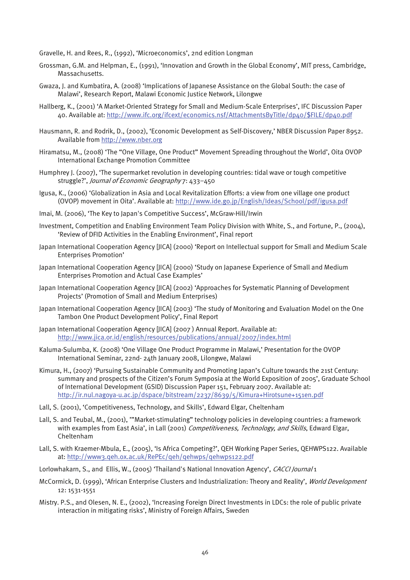Gravelle, H. and Rees, R., (1992), 'Microeconomics', 2nd edition Longman

- Grossman, G.M. and Helpman, E., (1991), 'Innovation and Growth in the Global Economy', MIT press, Cambridge, Massachusetts.
- Gwaza, J. and Kumbatira, A. (2008) 'Implications of Japanese Assistance on the Global South: the case of Malawi', Research Report, Malawi Economic Justice Network, Lilongwe
- Hallberg, K., (2001) 'A Market-Oriented Strategy for Small and Medium-Scale Enterprises', IFC Discussion Paper 40. Available at: http://www.ifc.org/ifcext/economics.nsf/AttachmentsByTitle/dp40/\$FILE/dp40.pdf
- Hausmann, R. and Rodrik, D., (2002), 'Economic Development as Self-Discovery,' NBER Discussion Paper 8952. Available from http://www.nber.org
- Hiramatsu, M., (2008) 'The "One Village, One Product" Movement Spreading throughout the World', Oita OVOP International Exchange Promotion Committee
- Humphrey J. (2007), 'The supermarket revolution in developing countries: tidal wave or tough competitive struggle?', Journal of Economic Geography 7: 433–450
- Igusa, K., (2006) 'Globalization in Asia and Local Revitalization Efforts: a view from one village one product (OVOP) movement in Oita'. Available at: http://www.ide.go.jp/English/Ideas/School/pdf/igusa.pdf
- Imai, M. (2006), 'The Key to Japan's Competitive Success', McGraw-Hill/Irwin
- Investment, Competition and Enabling Environment Team Policy Division with White, S., and Fortune, P., (2004), 'Review of DFID Activities in the Enabling Environment', Final report
- Japan International Cooperation Agency [JICA] (2000) 'Report on Intellectual support for Small and Medium Scale Enterprises Promotion'
- Japan International Cooperation Agency [JICA] (2000) 'Study on Japanese Experience of Small and Medium Enterprises Promotion and Actual Case Examples'
- Japan International Cooperation Agency [JICA] (2002) 'Approaches for Systematic Planning of Development Projects' (Promotion of Small and Medium Enterprises)
- Japan International Cooperation Agency [JICA] (2003) 'The study of Monitoring and Evaluation Model on the One Tambon One Product Development Policy', Final Report
- Japan International Cooperation Agency [JICA] (2007 ) Annual Report. Available at: http://www.jica.or.id/english/resources/publications/annual/2007/index.html
- Kaluma-Sulumba, K. (2008) 'One Village One Product Programme in Malawi,' Presentation for the OVOP International Seminar, 22nd- 24th January 2008, Lilongwe, Malawi
- Kimura, H., (2007) 'Pursuing Sustainable Community and Promoting Japan's Culture towards the 21st Century: summary and prospects of the Citizen's Forum Symposia at the World Exposition of 2005', Graduate School of International Development (GSID) Discussion Paper 151, February 2007. Available at: http://ir.nul.nagoya-u.ac.jp/dspace/bitstream/2237/8639/5/Kimura+Hirotsune+151en.pdf
- Lall, S. (2001), 'Competitiveness, Technology, and Skills', Edward Elgar, Cheltenham
- Lall, S. and Teubal, M., (2001), '"Market-stimulating" technology policies in developing countries: a framework with examples from East Asia', in Lall (2001) Competitiveness, Technology, and Skills, Edward Elgar, Cheltenham
- Lall, S. with Kraemer-Mbula, E., (2005), 'Is Africa Competing?', QEH Working Paper Series, QEHWPS122. Available at: http://www3.qeh.ox.ac.uk/RePEc/qeh/qehwps/qehwps122.pdf
- Lorlowhakarn, S., and Ellis, W., (2005) 'Thailand's National Innovation Agency', CACCI Journal 1
- McCormick, D. (1999), 'African Enterprise Clusters and Industrialization: Theory and Reality', World Development 12: 1531-1551
- Mistry. P.S., and Olesen, N. E., (2002), 'Increasing Foreign Direct Investments in LDCs: the role of public private interaction in mitigating risks', Ministry of Foreign Affairs, Sweden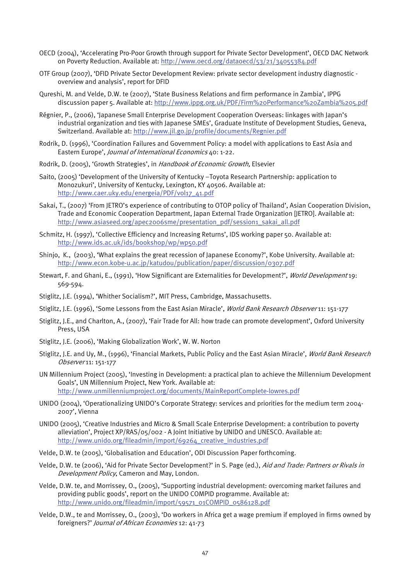- OECD (2004), 'Accelerating Pro-Poor Growth through support for Private Sector Development', OECD DAC Network on Poverty Reduction. Available at: http://www.oecd.org/dataoecd/53/21/34055384.pdf
- OTF Group (2007), 'DFID Private Sector Development Review: private sector development industry diagnostic overview and analysis', report for DFID
- Qureshi, M. and Velde, D.W. te (2007), 'State Business Relations and firm performance in Zambia', IPPG discussion paper 5. Available at: http://www.ippg.org.uk/PDF/Firm%20Performance%20Zambia%205.pdf
- Régnier, P., (2006), 'Japanese Small Enterprise Development Cooperation Overseas: linkages with Japan's industrial organization and ties with Japanese SMEs', Graduate Institute of Development Studies, Geneva, Switzerland. Available at: http://www.jil.go.jp/profile/documents/Regnier.pdf
- Rodrik, D. (1996), 'Coordination Failures and Government Policy: a model with applications to East Asia and Eastern Europe', Journal of International Economics 40: 1-22.
- Rodrik, D. (2005), 'Growth Strategies', in Handbook of Economic Growth, Elsevier
- Saito, (2005) 'Development of the University of Kentucky –Toyota Research Partnership: application to Monozukuri', University of Kentucky, Lexington, KY 40506. Available at: http://www.caer.uky.edu/energeia/PDF/vol17\_41.pdf
- Sakai, T., (2007) 'From JETRO's experience of contributing to OTOP policy of Thailand', Asian Cooperation Division, Trade and Economic Cooperation Department, Japan External Trade Organization [JETRO]. Available at: http://www.asiaseed.org/apec2006sme/presentation\_pdf/session1\_sakai\_all.pdf
- Schmitz, H. (1997), 'Collective Efficiency and Increasing Returns', IDS working paper 50. Available at: http://www.ids.ac.uk/ids/bookshop/wp/wp50.pdf
- Shinjo, K., (2003), 'What explains the great recession of Japanese Economy?', Kobe University. Available at: http://www.econ.kobe-u.ac.jp/katudou/publication/paper/discussion/0307.pdf
- Stewart, F. and Ghani, E., (1991), 'How Significant are Externalities for Development?', World Development 19: 569-594.
- Stiglitz, J.E. (1994), 'Whither Socialism?', MIT Press, Cambridge, Massachusetts.
- Stiglitz, J.E. (1996), 'Some Lessons from the East Asian Miracle', World Bank Research Observer 11: 151-177
- Stiglitz, J.E., and Charlton, A., (2007), 'Fair Trade for All: how trade can promote development', Oxford University Press, USA
- Stiglitz, J.E. (2006), 'Making Globalization Work', W. W. Norton
- Stiglitz, J.E. and Uy, M., (1996), 'Financial Markets, Public Policy and the East Asian Miracle', World Bank Research Observer 11: 151-177
- UN Millennium Project (2005), 'Investing in Development: a practical plan to achieve the Millennium Development Goals', UN Millennium Project, New York. Available at: http://www.unmillenniumproject.org/documents/MainReportComplete-lowres.pdf
- UNIDO (2004), 'Operationalizing UNIDO's Corporate Strategy: services and priorities for the medium term 2004- 2007', Vienna
- UNIDO (2005), 'Creative Industries and Micro & Small Scale Enterprise Development: a contribution to poverty alleviation', Project XP/RAS/05/002 - A Joint Initiative by UNIDO and UNESCO. Available at: http://www.unido.org/fileadmin/import/69264\_creative\_industries.pdf
- Velde, D.W. te (2005), 'Globalisation and Education', ODI Discussion Paper forthcoming.
- Velde, D.W. te (2006), 'Aid for Private Sector Development?' in S. Page (ed.), Aid and Trade: Partners or Rivals in Development Policy, Cameron and May, London.
- Velde, D.W. te, and Morrissey, O., (2005), 'Supporting industrial development: overcoming market failures and providing public goods', report on the UNIDO COMPID programme. Available at: http://www.unido.org/fileadmin/import/59571\_01COMPID\_0586128.pdf
- Velde, D.W., te and Morrissey, O., (2003), 'Do workers in Africa get a wage premium if employed in firms owned by foreigners?' Journal of African Economies 12: 41-73